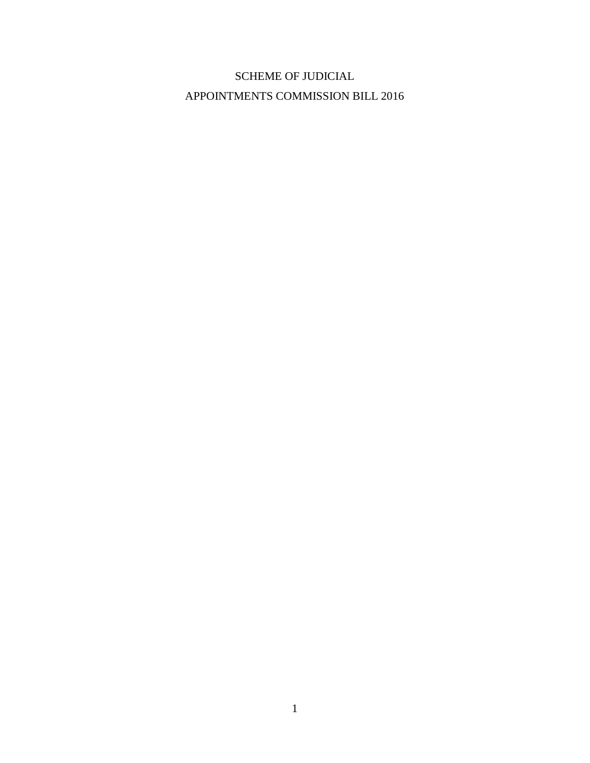# SCHEME OF JUDICIAL APPOINTMENTS COMMISSION BILL 2016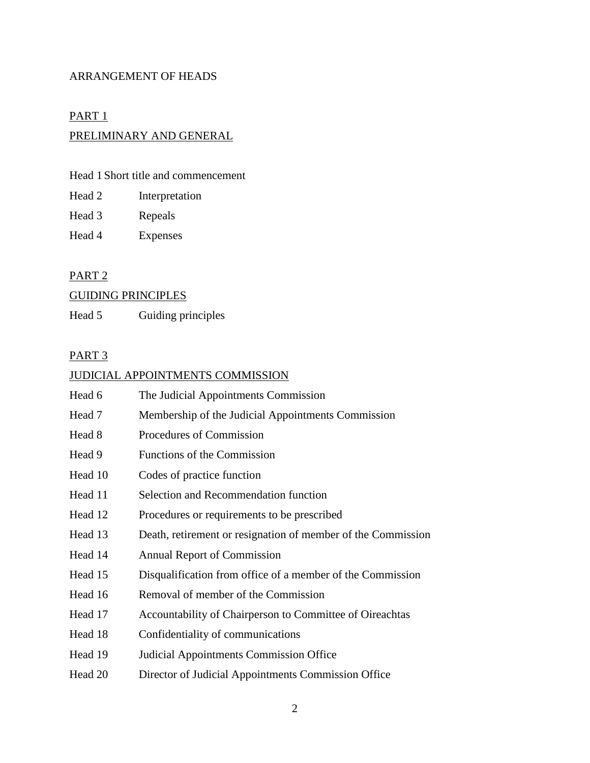## ARRANGEMENT OF HEADS

## PART<sub>1</sub>

## PRELIMINARY AND GENERAL

## Head 1 Short title and commencement

| Head 2 | Interpretation |
|--------|----------------|
|        |                |

- Head 3 Repeals
- Head 4 Expenses

## PART 2

# GUIDING PRINCIPLES

Head 5 Guiding principles

## PART<sub>3</sub>

## JUDICIAL APPOINTMENTS COMMISSION

| Head 6  | The Judicial Appointments Commission                         |
|---------|--------------------------------------------------------------|
| Head 7  | Membership of the Judicial Appointments Commission           |
| Head 8  | Procedures of Commission                                     |
| Head 9  | Functions of the Commission                                  |
| Head 10 | Codes of practice function                                   |
| Head 11 | Selection and Recommendation function                        |
| Head 12 | Procedures or requirements to be prescribed                  |
| Head 13 | Death, retirement or resignation of member of the Commission |
| Head 14 | <b>Annual Report of Commission</b>                           |
| Head 15 | Disqualification from office of a member of the Commission   |
| Head 16 | Removal of member of the Commission                          |
| Head 17 | Accountability of Chairperson to Committee of Oireachtas     |
| Head 18 | Confidentiality of communications                            |
| Head 19 | <b>Judicial Appointments Commission Office</b>               |
| Head 20 | Director of Judicial Appointments Commission Office          |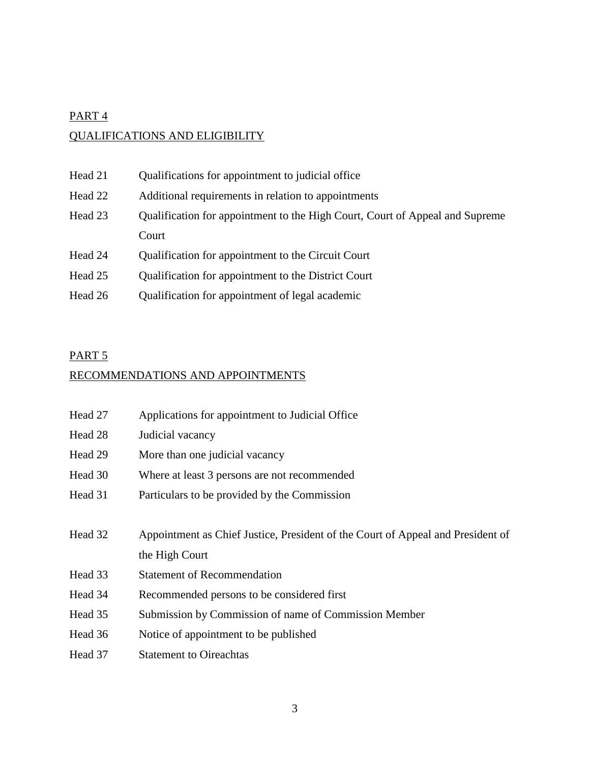# PART<sub>4</sub> QUALIFICATIONS AND ELIGIBILITY

| Head 21 | Qualifications for appointment to judicial office                            |  |
|---------|------------------------------------------------------------------------------|--|
| Head 22 | Additional requirements in relation to appointments                          |  |
| Head 23 | Qualification for appointment to the High Court, Court of Appeal and Supreme |  |
|         | Court                                                                        |  |
| Head 24 | Qualification for appointment to the Circuit Court                           |  |
| Head 25 | Qualification for appointment to the District Court                          |  |
| Head 26 | Qualification for appointment of legal academic                              |  |

## PART<sub>5</sub>

# RECOMMENDATIONS AND APPOINTMENTS

| Head 27 | Applications for appointment to Judicial Office                                 |  |
|---------|---------------------------------------------------------------------------------|--|
| Head 28 | Judicial vacancy                                                                |  |
| Head 29 | More than one judicial vacancy                                                  |  |
| Head 30 | Where at least 3 persons are not recommended                                    |  |
| Head 31 | Particulars to be provided by the Commission                                    |  |
|         |                                                                                 |  |
| Head 32 | Appointment as Chief Justice, President of the Court of Appeal and President of |  |
|         | the High Court                                                                  |  |
| Head 33 | <b>Statement of Recommendation</b>                                              |  |
| Head 34 | Recommended persons to be considered first                                      |  |
| Head 35 | Submission by Commission of name of Commission Member                           |  |
| Head 36 | Notice of appointment to be published                                           |  |
| Head 37 | <b>Statement to Oireachtas</b>                                                  |  |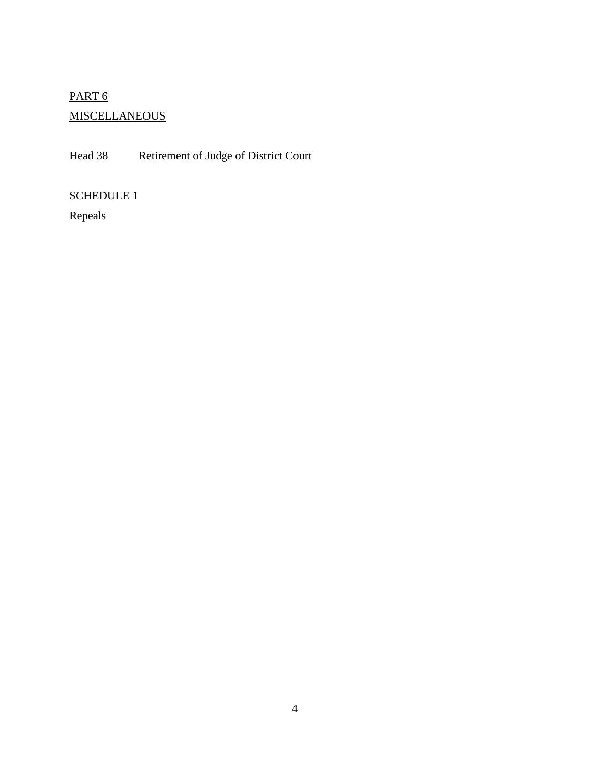# PART<sub>6</sub> **MISCELLANEOUS**

Head 38 Retirement of Judge of District Court

SCHEDULE 1

Repeals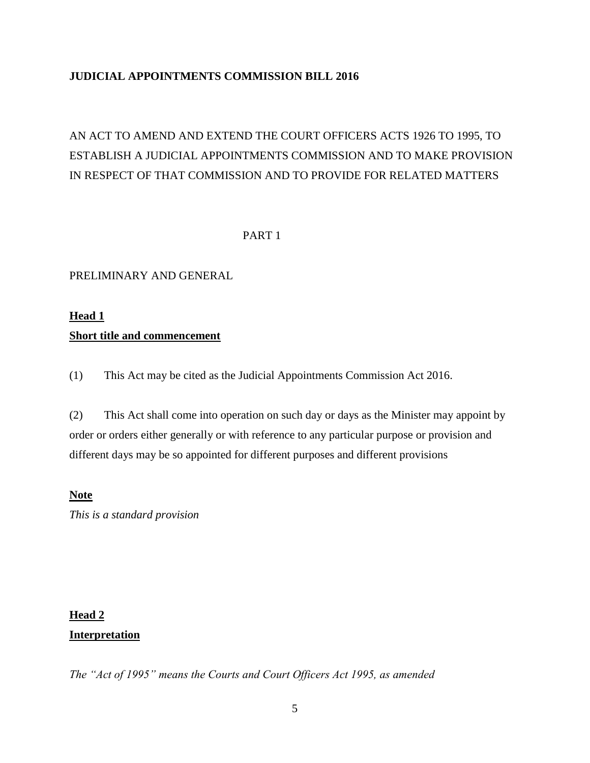## **JUDICIAL APPOINTMENTS COMMISSION BILL 2016**

# AN ACT TO AMEND AND EXTEND THE COURT OFFICERS ACTS 1926 TO 1995, TO ESTABLISH A JUDICIAL APPOINTMENTS COMMISSION AND TO MAKE PROVISION IN RESPECT OF THAT COMMISSION AND TO PROVIDE FOR RELATED MATTERS

## PART 1

## PRELIMINARY AND GENERAL

# **Head 1 Short title and commencement**

(1) This Act may be cited as the Judicial Appointments Commission Act 2016.

(2) This Act shall come into operation on such day or days as the Minister may appoint by order or orders either generally or with reference to any particular purpose or provision and different days may be so appointed for different purposes and different provisions

## **Note**

*This is a standard provision* 

# **Head 2 Interpretation**

*The "Act of 1995" means the Courts and Court Officers Act 1995, as amended*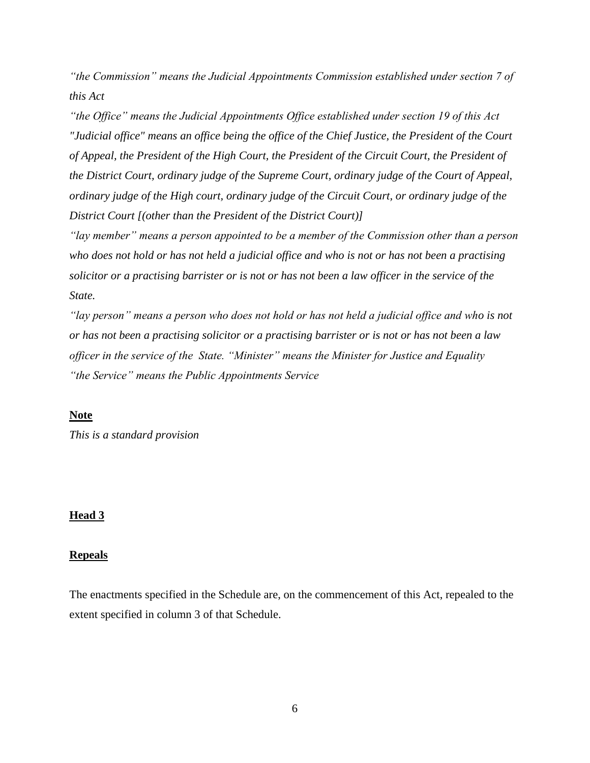*"the Commission" means the Judicial Appointments Commission established under section 7 of this Act*

*"the Office" means the Judicial Appointments Office established under section 19 of this Act "Judicial office" means an office being the office of the Chief Justice, the President of the Court of Appeal, the President of the High Court, the President of the Circuit Court, the President of the District Court, ordinary judge of the Supreme Court, ordinary judge of the Court of Appeal, ordinary judge of the High court, ordinary judge of the Circuit Court, or ordinary judge of the District Court [(other than the President of the District Court)]* 

*"lay member" means a person appointed to be a member of the Commission other than a person who does not hold or has not held a judicial office and who is not or has not been a practising solicitor or a practising barrister or is not or has not been a law officer in the service of the State.* 

*"lay person" means a person who does not hold or has not held a judicial office and who is not or has not been a practising solicitor or a practising barrister or is not or has not been a law officer in the service of the State. "Minister" means the Minister for Justice and Equality "the Service" means the Public Appointments Service* 

## **Note**

*This is a standard provision* 

#### **Head 3**

#### **Repeals**

The enactments specified in the Schedule are, on the commencement of this Act, repealed to the extent specified in column 3 of that Schedule.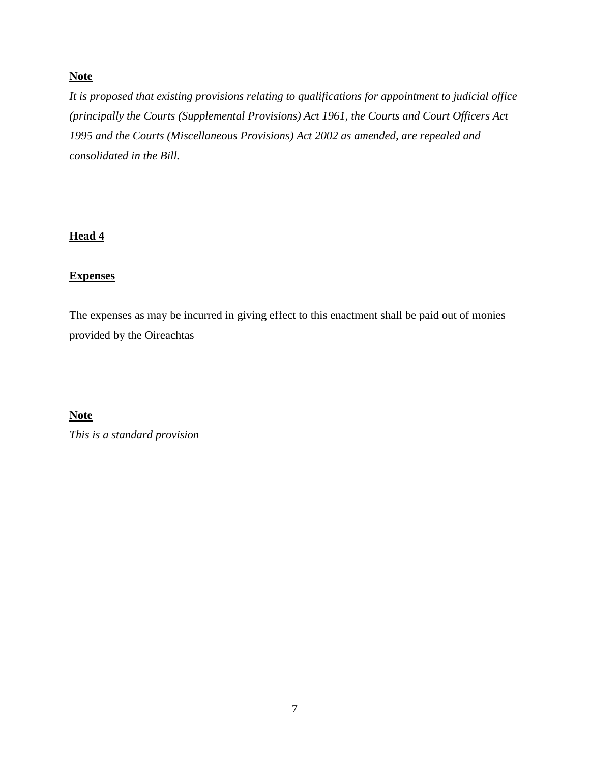## **Note**

*It is proposed that existing provisions relating to qualifications for appointment to judicial office (principally the Courts (Supplemental Provisions) Act 1961, the Courts and Court Officers Act 1995 and the Courts (Miscellaneous Provisions) Act 2002 as amended, are repealed and consolidated in the Bill.*

## **Head 4**

## **Expenses**

The expenses as may be incurred in giving effect to this enactment shall be paid out of monies provided by the Oireachtas

## **Note**

*This is a standard provision*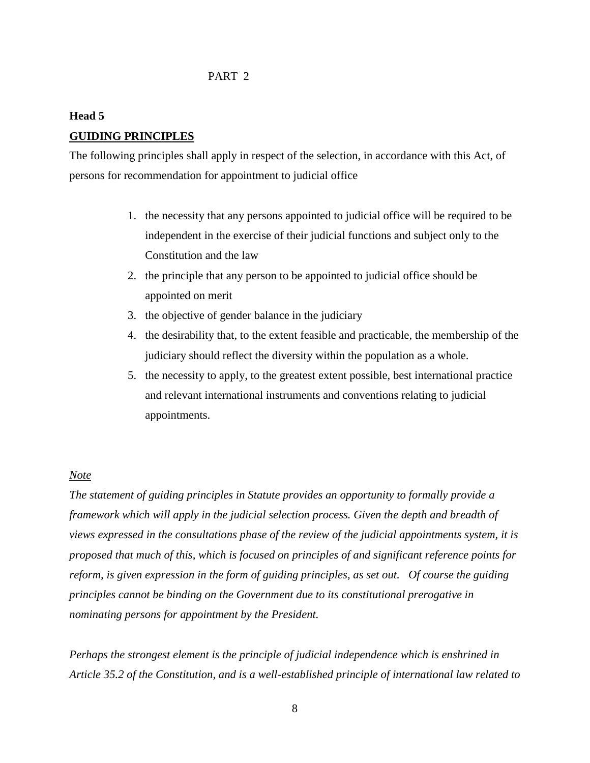#### PART 2

## **Head 5**

### **GUIDING PRINCIPLES**

The following principles shall apply in respect of the selection, in accordance with this Act, of persons for recommendation for appointment to judicial office

- 1. the necessity that any persons appointed to judicial office will be required to be independent in the exercise of their judicial functions and subject only to the Constitution and the law
- 2. the principle that any person to be appointed to judicial office should be appointed on merit
- 3. the objective of gender balance in the judiciary
- 4. the desirability that, to the extent feasible and practicable, the membership of the judiciary should reflect the diversity within the population as a whole.
- 5. the necessity to apply, to the greatest extent possible, best international practice and relevant international instruments and conventions relating to judicial appointments.

#### *Note*

*The statement of guiding principles in Statute provides an opportunity to formally provide a framework which will apply in the judicial selection process. Given the depth and breadth of views expressed in the consultations phase of the review of the judicial appointments system, it is proposed that much of this, which is focused on principles of and significant reference points for reform, is given expression in the form of guiding principles, as set out. Of course the guiding principles cannot be binding on the Government due to its constitutional prerogative in nominating persons for appointment by the President.*

*Perhaps the strongest element is the principle of judicial independence which is enshrined in Article 35.2 of the Constitution, and is a well-established principle of international law related to*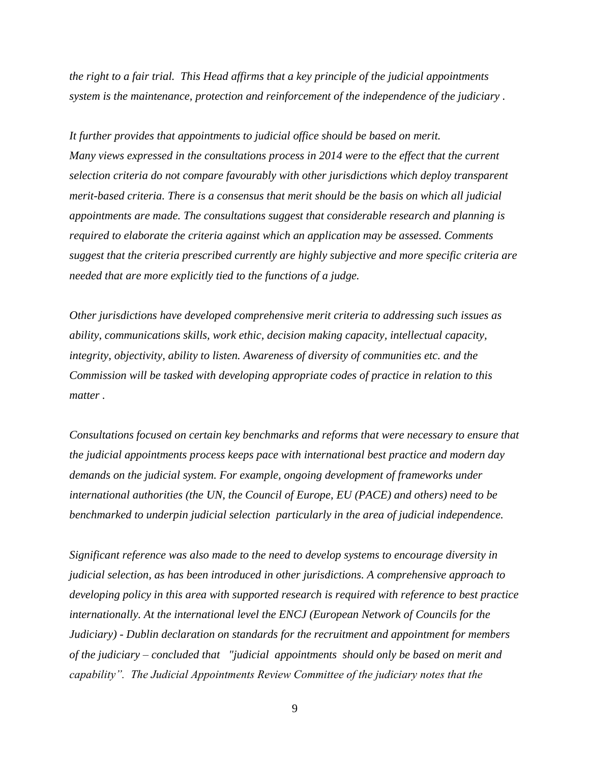*the right to a fair trial. This Head affirms that a key principle of the judicial appointments system is the maintenance, protection and reinforcement of the independence of the judiciary .* 

*It further provides that appointments to judicial office should be based on merit. Many views expressed in the consultations process in 2014 were to the effect that the current selection criteria do not compare favourably with other jurisdictions which deploy transparent merit-based criteria. There is a consensus that merit should be the basis on which all judicial appointments are made. The consultations suggest that considerable research and planning is required to elaborate the criteria against which an application may be assessed. Comments suggest that the criteria prescribed currently are highly subjective and more specific criteria are needed that are more explicitly tied to the functions of a judge.*

*Other jurisdictions have developed comprehensive merit criteria to addressing such issues as ability, communications skills, work ethic, decision making capacity, intellectual capacity, integrity, objectivity, ability to listen. Awareness of diversity of communities etc. and the Commission will be tasked with developing appropriate codes of practice in relation to this matter .*

*Consultations focused on certain key benchmarks and reforms that were necessary to ensure that the judicial appointments process keeps pace with international best practice and modern day demands on the judicial system. For example, ongoing development of frameworks under international authorities (the UN, the Council of Europe, EU (PACE) and others) need to be benchmarked to underpin judicial selection particularly in the area of judicial independence.*

*Significant reference was also made to the need to develop systems to encourage diversity in judicial selection, as has been introduced in other jurisdictions. A comprehensive approach to developing policy in this area with supported research is required with reference to best practice internationally. At the international level the ENCJ (European Network of Councils for the Judiciary) - Dublin declaration on standards for the recruitment and appointment for members of the judiciary – concluded that "judicial appointments should only be based on merit and capability". The Judicial Appointments Review Committee of the judiciary notes that the* 

9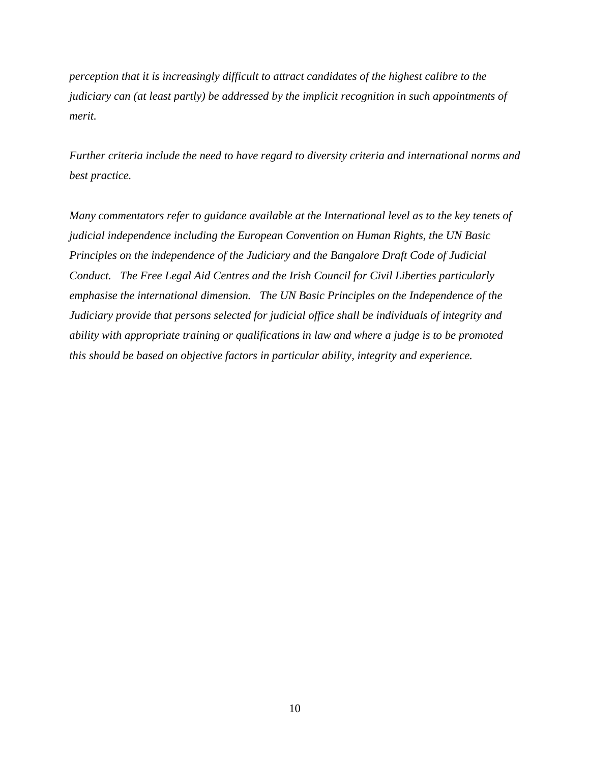*perception that it is increasingly difficult to attract candidates of the highest calibre to the judiciary can (at least partly) be addressed by the implicit recognition in such appointments of merit.* 

*Further criteria include the need to have regard to diversity criteria and international norms and best practice.* 

*Many commentators refer to guidance available at the International level as to the key tenets of judicial independence including the European Convention on Human Rights, the UN Basic Principles on the independence of the Judiciary and the Bangalore Draft Code of Judicial Conduct. The Free Legal Aid Centres and the Irish Council for Civil Liberties particularly emphasise the international dimension. The UN Basic Principles on the Independence of the Judiciary provide that persons selected for judicial office shall be individuals of integrity and ability with appropriate training or qualifications in law and where a judge is to be promoted this should be based on objective factors in particular ability, integrity and experience.*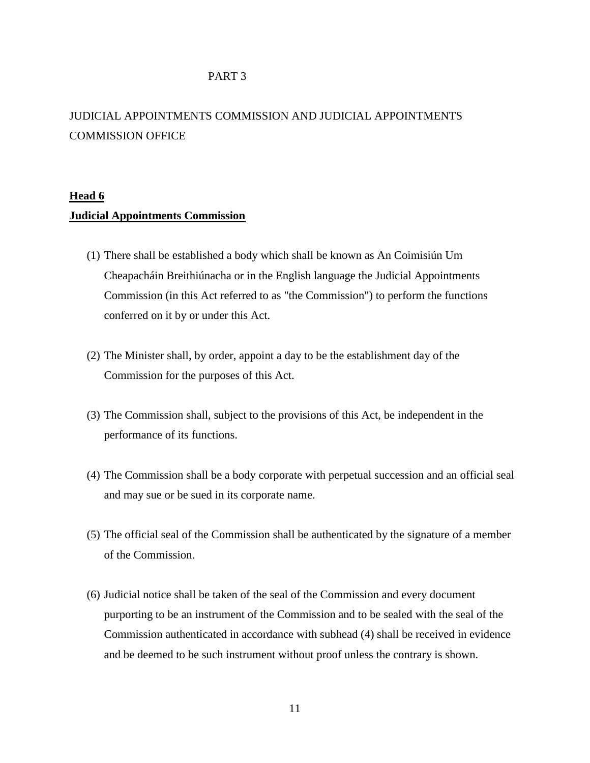#### PART 3

# JUDICIAL APPOINTMENTS COMMISSION AND JUDICIAL APPOINTMENTS COMMISSION OFFICE

## **Head 6**

#### **Judicial Appointments Commission**

- (1) There shall be established a body which shall be known as An Coimisiún Um Cheapacháin Breithiúnacha or in the English language the Judicial Appointments Commission (in this Act referred to as "the Commission") to perform the functions conferred on it by or under this Act.
- (2) The Minister shall, by order, appoint a day to be the establishment day of the Commission for the purposes of this Act.
- (3) The Commission shall, subject to the provisions of this Act, be independent in the performance of its functions.
- (4) The Commission shall be a body corporate with perpetual succession and an official seal and may sue or be sued in its corporate name.
- (5) The official seal of the Commission shall be authenticated by the signature of a member of the Commission.
- (6) Judicial notice shall be taken of the seal of the Commission and every document purporting to be an instrument of the Commission and to be sealed with the seal of the Commission authenticated in accordance with subhead (4) shall be received in evidence and be deemed to be such instrument without proof unless the contrary is shown.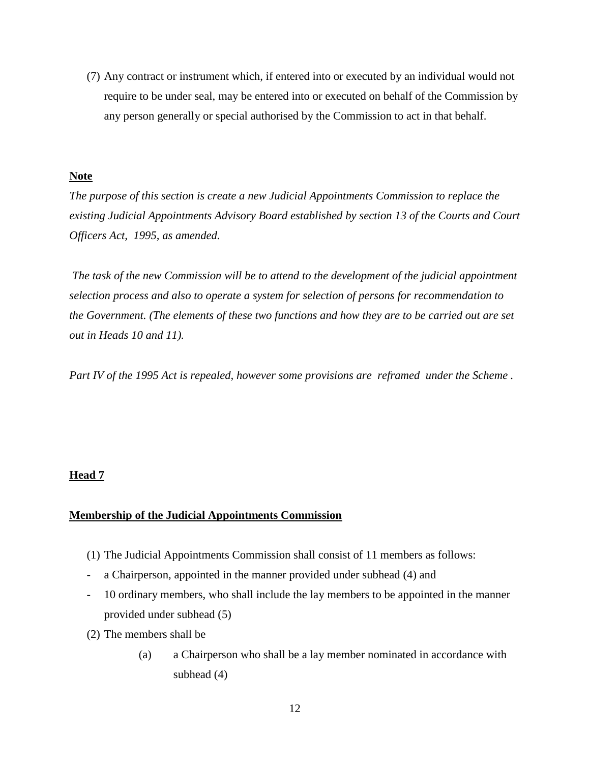(7) Any contract or instrument which, if entered into or executed by an individual would not require to be under seal, may be entered into or executed on behalf of the Commission by any person generally or special authorised by the Commission to act in that behalf.

#### **Note**

*The purpose of this section is create a new Judicial Appointments Commission to replace the existing Judicial Appointments Advisory Board established by section 13 of the Courts and Court Officers Act, 1995, as amended.* 

*The task of the new Commission will be to attend to the development of the judicial appointment selection process and also to operate a system for selection of persons for recommendation to the Government. (The elements of these two functions and how they are to be carried out are set out in Heads 10 and 11).*

*Part IV of the 1995 Act is repealed, however some provisions are reframed under the Scheme .* 

#### **Head 7**

## **Membership of the Judicial Appointments Commission**

- (1) The Judicial Appointments Commission shall consist of 11 members as follows:
- a Chairperson, appointed in the manner provided under subhead (4) and
- 10 ordinary members, who shall include the lay members to be appointed in the manner provided under subhead (5)
- (2) The members shall be
	- (a) a Chairperson who shall be a lay member nominated in accordance with subhead (4)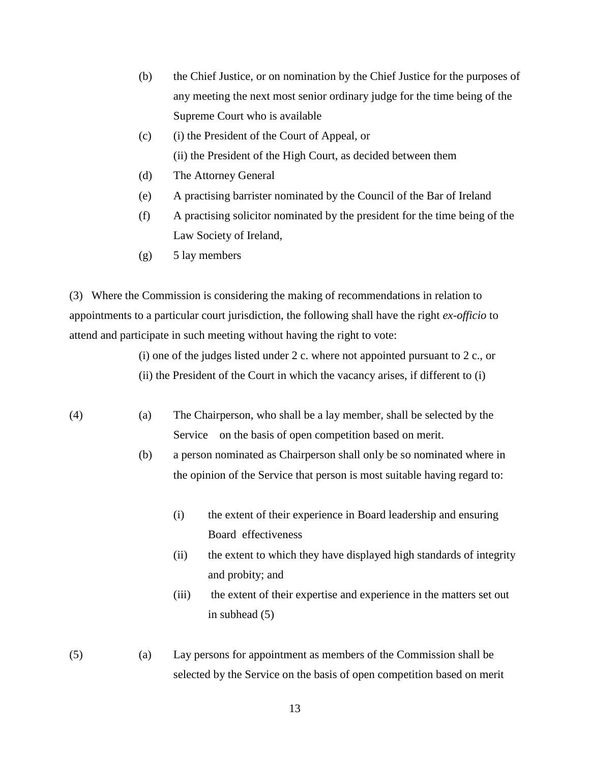- (b) the Chief Justice, or on nomination by the Chief Justice for the purposes of any meeting the next most senior ordinary judge for the time being of the Supreme Court who is available
- (c) (i) the President of the Court of Appeal, or (ii) the President of the High Court, as decided between them
- (d) The Attorney General
- (e) A practising barrister nominated by the Council of the Bar of Ireland
- (f) A practising solicitor nominated by the president for the time being of the Law Society of Ireland,
- $(g)$  5 lay members

(3) Where the Commission is considering the making of recommendations in relation to appointments to a particular court jurisdiction, the following shall have the right *ex-officio* to attend and participate in such meeting without having the right to vote:

(i) one of the judges listed under 2 c. where not appointed pursuant to 2 c., or

- (ii) the President of the Court in which the vacancy arises, if different to (i)
- (4) (a) The Chairperson, who shall be a lay member, shall be selected by the Service on the basis of open competition based on merit.
	- (b) a person nominated as Chairperson shall only be so nominated where in the opinion of the Service that person is most suitable having regard to:
		- (i) the extent of their experience in Board leadership and ensuring Board effectiveness
		- (ii) the extent to which they have displayed high standards of integrity and probity; and
		- (iii) the extent of their expertise and experience in the matters set out in subhead (5)
- (5) (a) Lay persons for appointment as members of the Commission shall be selected by the Service on the basis of open competition based on merit

13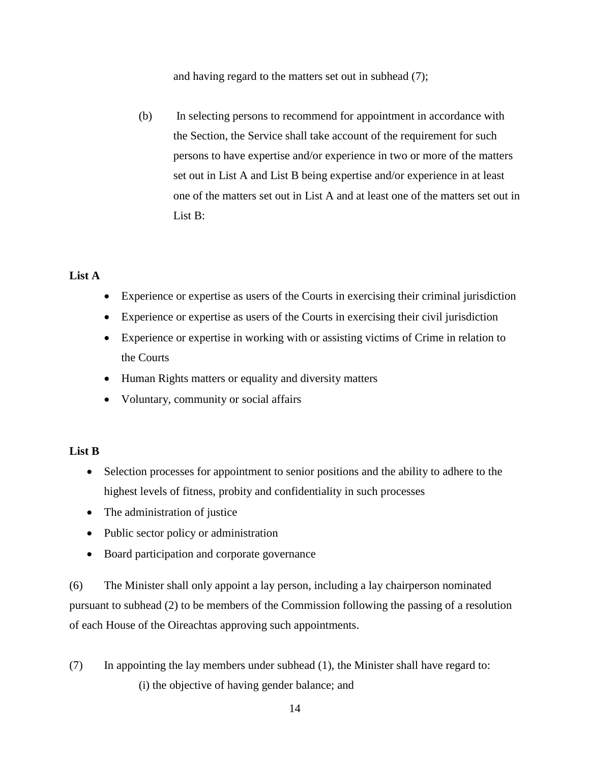and having regard to the matters set out in subhead (7);

(b) In selecting persons to recommend for appointment in accordance with the Section, the Service shall take account of the requirement for such persons to have expertise and/or experience in two or more of the matters set out in List A and List B being expertise and/or experience in at least one of the matters set out in List A and at least one of the matters set out in List B:

### **List A**

- Experience or expertise as users of the Courts in exercising their criminal jurisdiction
- Experience or expertise as users of the Courts in exercising their civil jurisdiction
- Experience or expertise in working with or assisting victims of Crime in relation to the Courts
- Human Rights matters or equality and diversity matters
- Voluntary, community or social affairs

## **List B**

- Selection processes for appointment to senior positions and the ability to adhere to the highest levels of fitness, probity and confidentiality in such processes
- The administration of justice
- Public sector policy or administration
- Board participation and corporate governance

(6) The Minister shall only appoint a lay person, including a lay chairperson nominated pursuant to subhead (2) to be members of the Commission following the passing of a resolution of each House of the Oireachtas approving such appointments.

(7) In appointing the lay members under subhead (1), the Minister shall have regard to: (i) the objective of having gender balance; and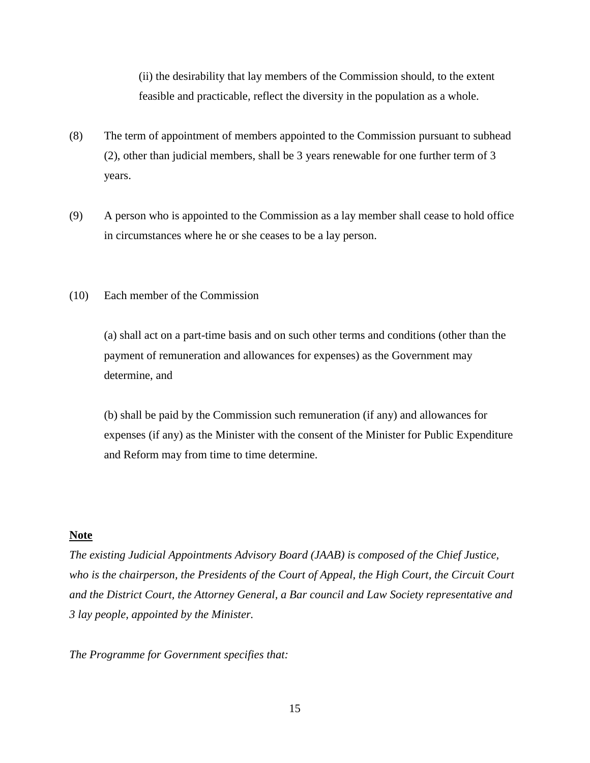(ii) the desirability that lay members of the Commission should, to the extent feasible and practicable, reflect the diversity in the population as a whole.

- (8) The term of appointment of members appointed to the Commission pursuant to subhead (2), other than judicial members, shall be 3 years renewable for one further term of 3 years.
- (9) A person who is appointed to the Commission as a lay member shall cease to hold office in circumstances where he or she ceases to be a lay person.
- (10) Each member of the Commission

(a) shall act on a part-time basis and on such other terms and conditions (other than the payment of remuneration and allowances for expenses) as the Government may determine, and

(b) shall be paid by the Commission such remuneration (if any) and allowances for expenses (if any) as the Minister with the consent of the Minister for Public Expenditure and Reform may from time to time determine.

### **Note**

*The existing Judicial Appointments Advisory Board (JAAB) is composed of the Chief Justice, who is the chairperson, the Presidents of the Court of Appeal, the High Court, the Circuit Court and the District Court, the Attorney General, a Bar council and Law Society representative and 3 lay people, appointed by the Minister.* 

*The Programme for Government specifies that:*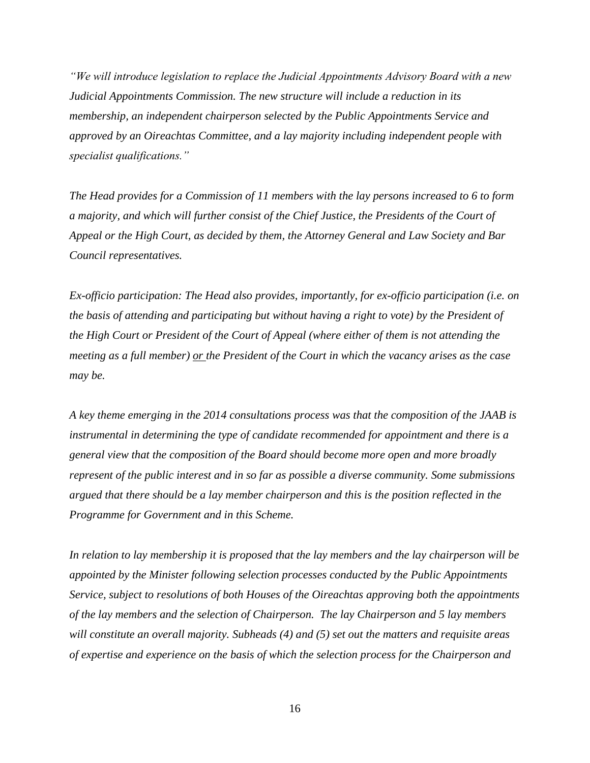*"We will introduce legislation to replace the Judicial Appointments Advisory Board with a new Judicial Appointments Commission. The new structure will include a reduction in its membership, an independent chairperson selected by the Public Appointments Service and approved by an Oireachtas Committee, and a lay majority including independent people with specialist qualifications."*

*The Head provides for a Commission of 11 members with the lay persons increased to 6 to form a majority, and which will further consist of the Chief Justice, the Presidents of the Court of Appeal or the High Court, as decided by them, the Attorney General and Law Society and Bar Council representatives.*

*Ex-officio participation: The Head also provides, importantly, for ex-officio participation (i.e. on the basis of attending and participating but without having a right to vote) by the President of the High Court or President of the Court of Appeal (where either of them is not attending the meeting as a full member) or the President of the Court in which the vacancy arises as the case may be.*

*A key theme emerging in the 2014 consultations process was that the composition of the JAAB is instrumental in determining the type of candidate recommended for appointment and there is a general view that the composition of the Board should become more open and more broadly represent of the public interest and in so far as possible a diverse community. Some submissions argued that there should be a lay member chairperson and this is the position reflected in the Programme for Government and in this Scheme.*

*In relation to lay membership it is proposed that the lay members and the lay chairperson will be appointed by the Minister following selection processes conducted by the Public Appointments Service, subject to resolutions of both Houses of the Oireachtas approving both the appointments of the lay members and the selection of Chairperson. The lay Chairperson and 5 lay members will constitute an overall majority. Subheads (4) and (5) set out the matters and requisite areas of expertise and experience on the basis of which the selection process for the Chairperson and*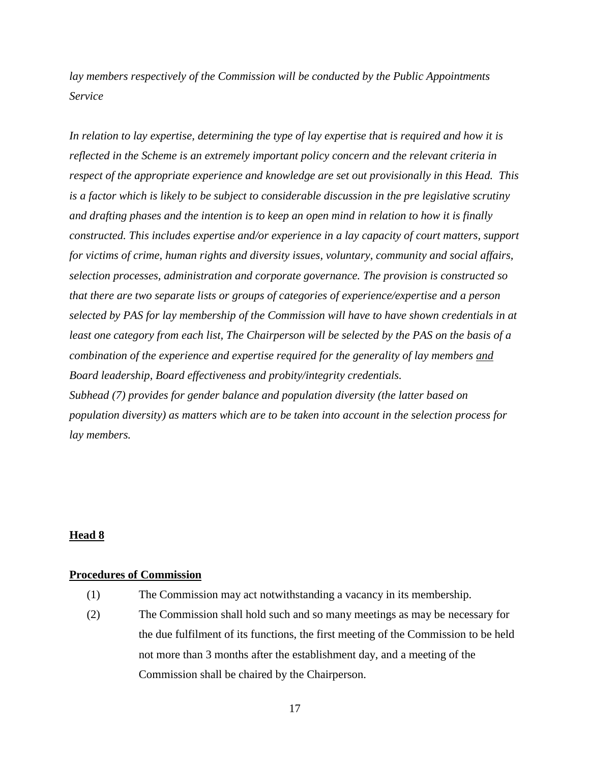*lay members respectively of the Commission will be conducted by the Public Appointments Service* 

*In relation to lay expertise, determining the type of lay expertise that is required and how it is reflected in the Scheme is an extremely important policy concern and the relevant criteria in respect of the appropriate experience and knowledge are set out provisionally in this Head. This is a factor which is likely to be subject to considerable discussion in the pre legislative scrutiny and drafting phases and the intention is to keep an open mind in relation to how it is finally constructed. This includes expertise and/or experience in a lay capacity of court matters, support for victims of crime, human rights and diversity issues, voluntary, community and social affairs, selection processes, administration and corporate governance. The provision is constructed so that there are two separate lists or groups of categories of experience/expertise and a person selected by PAS for lay membership of the Commission will have to have shown credentials in at least one category from each list, The Chairperson will be selected by the PAS on the basis of a combination of the experience and expertise required for the generality of lay members and Board leadership, Board effectiveness and probity/integrity credentials. Subhead (7) provides for gender balance and population diversity (the latter based on population diversity) as matters which are to be taken into account in the selection process for lay members.*

#### **Head 8**

#### **Procedures of Commission**

- (1) The Commission may act notwithstanding a vacancy in its membership.
- (2) The Commission shall hold such and so many meetings as may be necessary for the due fulfilment of its functions, the first meeting of the Commission to be held not more than 3 months after the establishment day, and a meeting of the Commission shall be chaired by the Chairperson.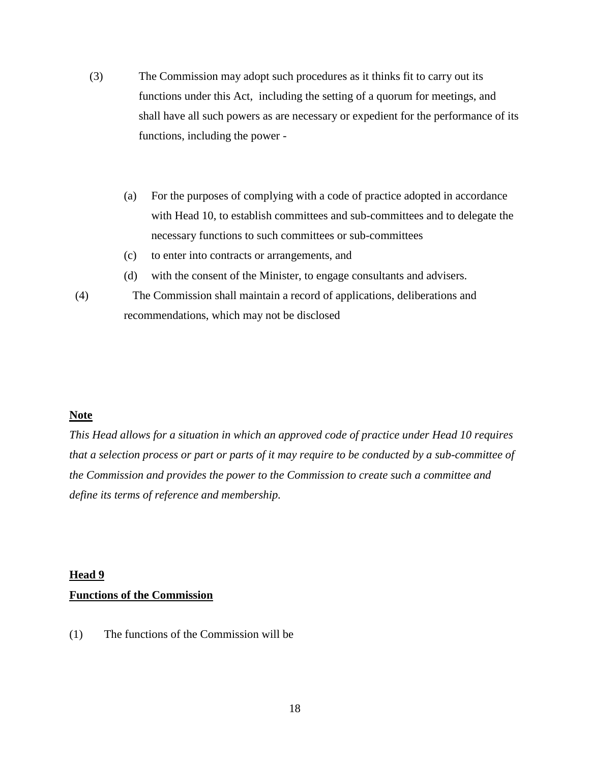- (3) The Commission may adopt such procedures as it thinks fit to carry out its functions under this Act, including the setting of a quorum for meetings, and shall have all such powers as are necessary or expedient for the performance of its functions, including the power -
	- (a) For the purposes of complying with a code of practice adopted in accordance with Head 10, to establish committees and sub-committees and to delegate the necessary functions to such committees or sub-committees
	- (c) to enter into contracts or arrangements, and
	- (d) with the consent of the Minister, to engage consultants and advisers.
- (4) The Commission shall maintain a record of applications, deliberations and recommendations, which may not be disclosed

### **Note**

*This Head allows for a situation in which an approved code of practice under Head 10 requires that a selection process or part or parts of it may require to be conducted by a sub-committee of the Commission and provides the power to the Commission to create such a committee and define its terms of reference and membership.*

#### **Head 9**

#### **Functions of the Commission**

(1) The functions of the Commission will be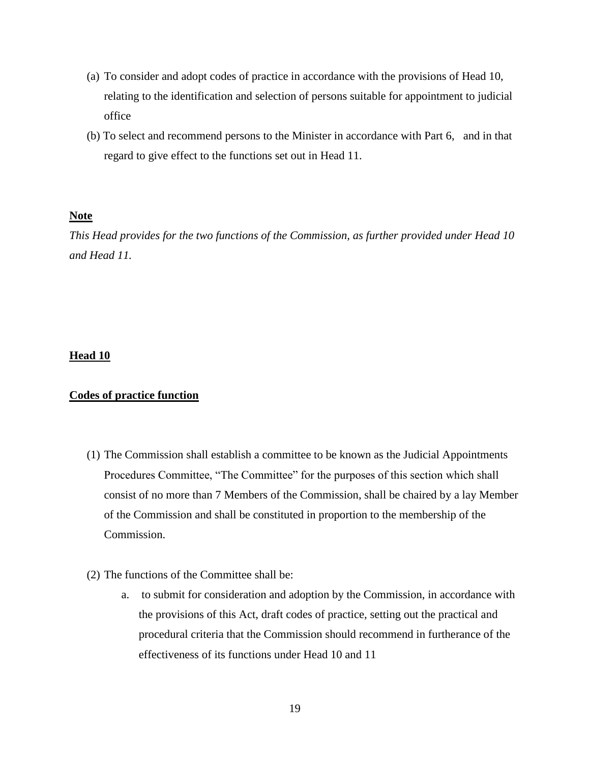- (a) To consider and adopt codes of practice in accordance with the provisions of Head 10, relating to the identification and selection of persons suitable for appointment to judicial office
- (b) To select and recommend persons to the Minister in accordance with Part 6, and in that regard to give effect to the functions set out in Head 11.

#### **Note**

*This Head provides for the two functions of the Commission, as further provided under Head 10 and Head 11.* 

#### **Head 10**

#### **Codes of practice function**

- (1) The Commission shall establish a committee to be known as the Judicial Appointments Procedures Committee, "The Committee" for the purposes of this section which shall consist of no more than 7 Members of the Commission, shall be chaired by a lay Member of the Commission and shall be constituted in proportion to the membership of the Commission.
- (2) The functions of the Committee shall be:
	- a. to submit for consideration and adoption by the Commission, in accordance with the provisions of this Act, draft codes of practice, setting out the practical and procedural criteria that the Commission should recommend in furtherance of the effectiveness of its functions under Head 10 and 11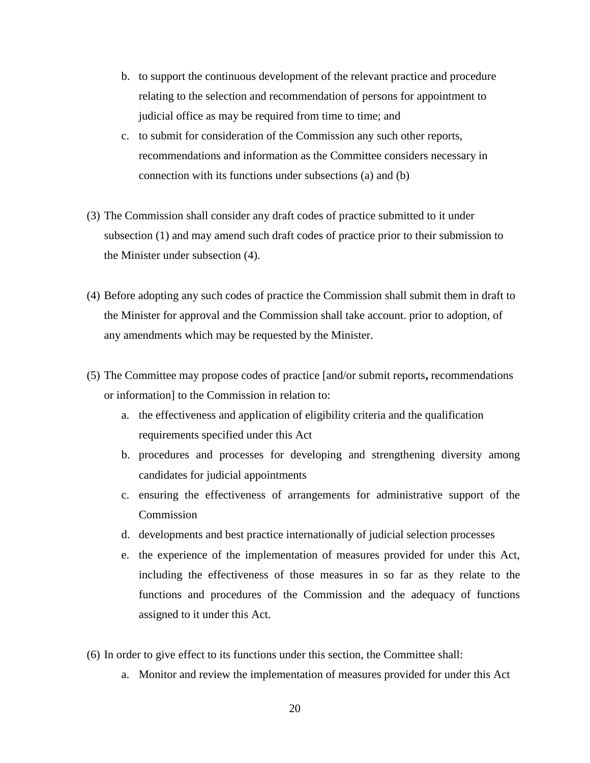- b. to support the continuous development of the relevant practice and procedure relating to the selection and recommendation of persons for appointment to judicial office as may be required from time to time; and
- c. to submit for consideration of the Commission any such other reports, recommendations and information as the Committee considers necessary in connection with its functions under subsections (a) and (b)
- (3) The Commission shall consider any draft codes of practice submitted to it under subsection (1) and may amend such draft codes of practice prior to their submission to the Minister under subsection (4).
- (4) Before adopting any such codes of practice the Commission shall submit them in draft to the Minister for approval and the Commission shall take account. prior to adoption, of any amendments which may be requested by the Minister.
- (5) The Committee may propose codes of practice [and/or submit reports**,** recommendations or information] to the Commission in relation to:
	- a. the effectiveness and application of eligibility criteria and the qualification requirements specified under this Act
	- b. procedures and processes for developing and strengthening diversity among candidates for judicial appointments
	- c. ensuring the effectiveness of arrangements for administrative support of the Commission
	- d. developments and best practice internationally of judicial selection processes
	- e. the experience of the implementation of measures provided for under this Act, including the effectiveness of those measures in so far as they relate to the functions and procedures of the Commission and the adequacy of functions assigned to it under this Act.
- (6) In order to give effect to its functions under this section, the Committee shall:
	- a. Monitor and review the implementation of measures provided for under this Act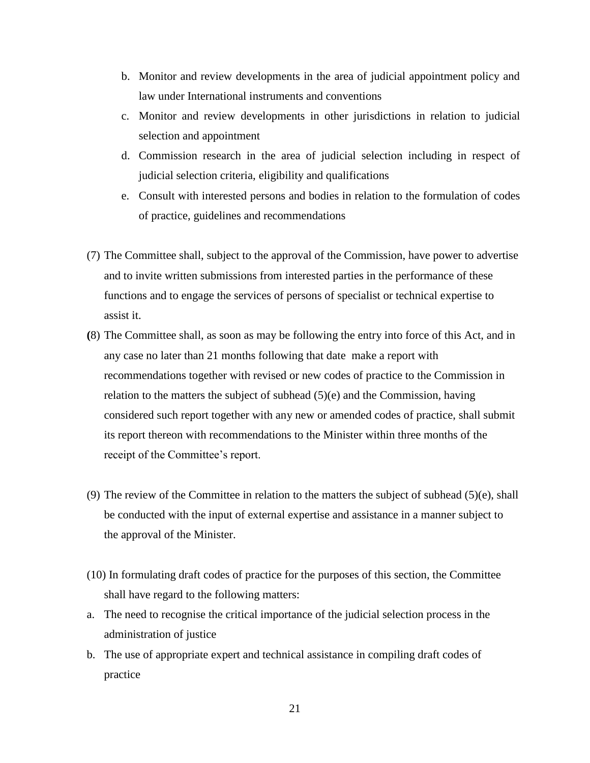- b. Monitor and review developments in the area of judicial appointment policy and law under International instruments and conventions
- c. Monitor and review developments in other jurisdictions in relation to judicial selection and appointment
- d. Commission research in the area of judicial selection including in respect of judicial selection criteria, eligibility and qualifications
- e. Consult with interested persons and bodies in relation to the formulation of codes of practice, guidelines and recommendations
- (7) The Committee shall, subject to the approval of the Commission, have power to advertise and to invite written submissions from interested parties in the performance of these functions and to engage the services of persons of specialist or technical expertise to assist it.
- **(**8) The Committee shall, as soon as may be following the entry into force of this Act, and in any case no later than 21 months following that date make a report with recommendations together with revised or new codes of practice to the Commission in relation to the matters the subject of subhead  $(5)(e)$  and the Commission, having considered such report together with any new or amended codes of practice, shall submit its report thereon with recommendations to the Minister within three months of the receipt of the Committee's report.
- (9) The review of the Committee in relation to the matters the subject of subhead (5)(e), shall be conducted with the input of external expertise and assistance in a manner subject to the approval of the Minister.
- (10) In formulating draft codes of practice for the purposes of this section, the Committee shall have regard to the following matters:
- a. The need to recognise the critical importance of the judicial selection process in the administration of justice
- b. The use of appropriate expert and technical assistance in compiling draft codes of practice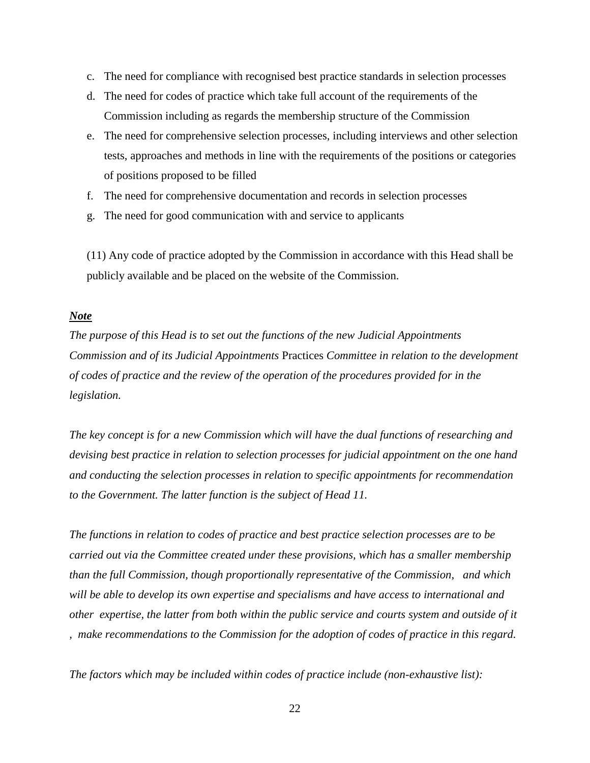- c. The need for compliance with recognised best practice standards in selection processes
- d. The need for codes of practice which take full account of the requirements of the Commission including as regards the membership structure of the Commission
- e. The need for comprehensive selection processes, including interviews and other selection tests, approaches and methods in line with the requirements of the positions or categories of positions proposed to be filled
- f. The need for comprehensive documentation and records in selection processes
- g. The need for good communication with and service to applicants

(11) Any code of practice adopted by the Commission in accordance with this Head shall be publicly available and be placed on the website of the Commission.

#### *Note*

*The purpose of this Head is to set out the functions of the new Judicial Appointments Commission and of its Judicial Appointments* Practices *Committee in relation to the development of codes of practice and the review of the operation of the procedures provided for in the legislation.*

*The key concept is for a new Commission which will have the dual functions of researching and devising best practice in relation to selection processes for judicial appointment on the one hand and conducting the selection processes in relation to specific appointments for recommendation to the Government. The latter function is the subject of Head 11.* 

*The functions in relation to codes of practice and best practice selection processes are to be carried out via the Committee created under these provisions, which has a smaller membership than the full Commission, though proportionally representative of the Commission, and which will be able to develop its own expertise and specialisms and have access to international and other expertise, the latter from both within the public service and courts system and outside of it , make recommendations to the Commission for the adoption of codes of practice in this regard.* 

*The factors which may be included within codes of practice include (non-exhaustive list):*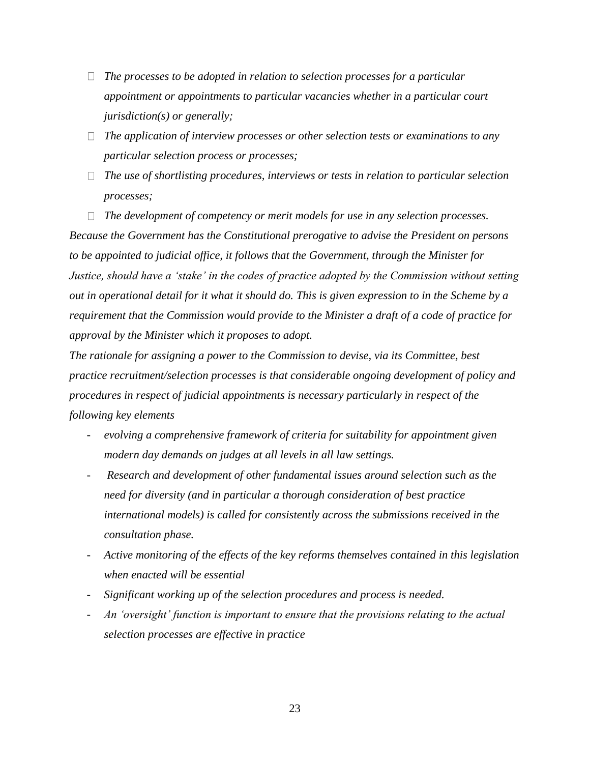- *The processes to be adopted in relation to selection processes for a particular appointment or appointments to particular vacancies whether in a particular court jurisdiction(s) or generally;*
- *The application of interview processes or other selection tests or examinations to any particular selection process or processes;*
- *The use of shortlisting procedures, interviews or tests in relation to particular selection processes;*

*The development of competency or merit models for use in any selection processes.*

*Because the Government has the Constitutional prerogative to advise the President on persons to be appointed to judicial office, it follows that the Government, through the Minister for Justice, should have a 'stake' in the codes of practice adopted by the Commission without setting out in operational detail for it what it should do. This is given expression to in the Scheme by a requirement that the Commission would provide to the Minister a draft of a code of practice for approval by the Minister which it proposes to adopt.*

*The rationale for assigning a power to the Commission to devise, via its Committee, best practice recruitment/selection processes is that considerable ongoing development of policy and procedures in respect of judicial appointments is necessary particularly in respect of the following key elements* 

- *- evolving a comprehensive framework of criteria for suitability for appointment given modern day demands on judges at all levels in all law settings.*
- *- Research and development of other fundamental issues around selection such as the need for diversity (and in particular a thorough consideration of best practice international models) is called for consistently across the submissions received in the consultation phase.*
- *- Active monitoring of the effects of the key reforms themselves contained in this legislation when enacted will be essential*
- *- Significant working up of the selection procedures and process is needed.*
- *- An 'oversight' function is important to ensure that the provisions relating to the actual selection processes are effective in practice*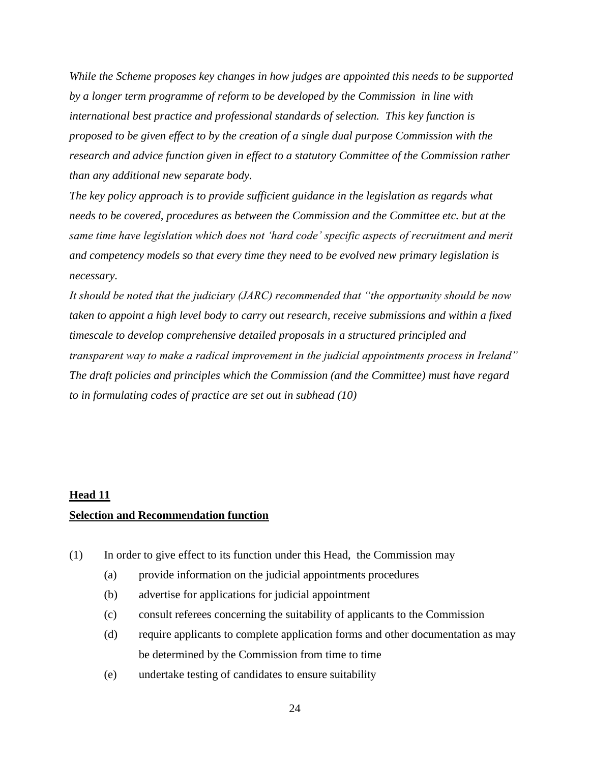*While the Scheme proposes key changes in how judges are appointed this needs to be supported by a longer term programme of reform to be developed by the Commission in line with international best practice and professional standards of selection. This key function is proposed to be given effect to by the creation of a single dual purpose Commission with the research and advice function given in effect to a statutory Committee of the Commission rather than any additional new separate body.*

*The key policy approach is to provide sufficient guidance in the legislation as regards what needs to be covered, procedures as between the Commission and the Committee etc. but at the same time have legislation which does not 'hard code' specific aspects of recruitment and merit and competency models so that every time they need to be evolved new primary legislation is necessary.*

*It should be noted that the judiciary (JARC) recommended that "the opportunity should be now taken to appoint a high level body to carry out research, receive submissions and within a fixed timescale to develop comprehensive detailed proposals in a structured principled and transparent way to make a radical improvement in the judicial appointments process in Ireland" The draft policies and principles which the Commission (and the Committee) must have regard to in formulating codes of practice are set out in subhead (10)*

#### **Head 11**

#### **Selection and Recommendation function**

- (1) In order to give effect to its function under this Head, the Commission may
	- (a) provide information on the judicial appointments procedures
	- (b) advertise for applications for judicial appointment
	- (c) consult referees concerning the suitability of applicants to the Commission
	- (d) require applicants to complete application forms and other documentation as may be determined by the Commission from time to time
	- (e) undertake testing of candidates to ensure suitability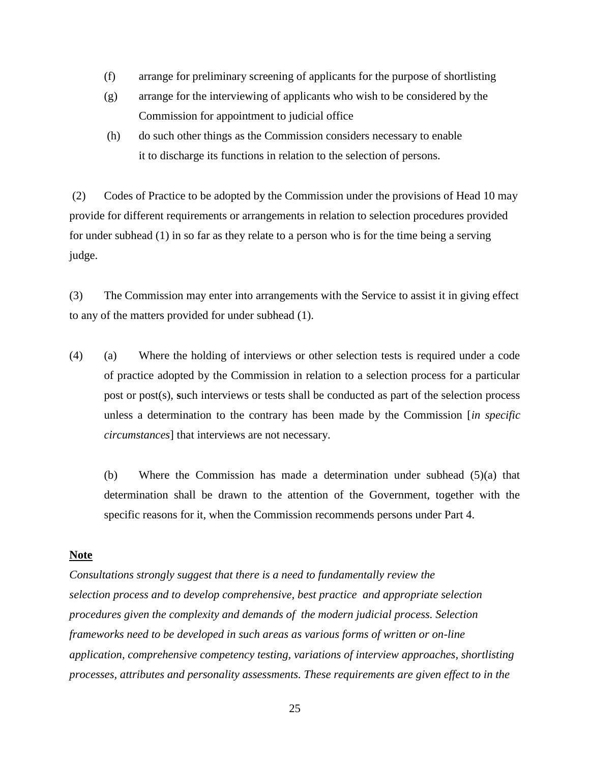- (f) arrange for preliminary screening of applicants for the purpose of shortlisting
- (g) arrange for the interviewing of applicants who wish to be considered by the Commission for appointment to judicial office
- (h) do such other things as the Commission considers necessary to enable it to discharge its functions in relation to the selection of persons.

(2) Codes of Practice to be adopted by the Commission under the provisions of Head 10 may provide for different requirements or arrangements in relation to selection procedures provided for under subhead (1) in so far as they relate to a person who is for the time being a serving judge.

(3) The Commission may enter into arrangements with the Service to assist it in giving effect to any of the matters provided for under subhead (1).

(4) (a) Where the holding of interviews or other selection tests is required under a code of practice adopted by the Commission in relation to a selection process for a particular post or post(s), **s**uch interviews or tests shall be conducted as part of the selection process unless a determination to the contrary has been made by the Commission [*in specific circumstances*] that interviews are not necessary.

(b) Where the Commission has made a determination under subhead (5)(a) that determination shall be drawn to the attention of the Government, together with the specific reasons for it, when the Commission recommends persons under Part 4.

#### **Note**

*Consultations strongly suggest that there is a need to fundamentally review the selection process and to develop comprehensive, best practice and appropriate selection procedures given the complexity and demands of the modern judicial process. Selection frameworks need to be developed in such areas as various forms of written or on-line application, comprehensive competency testing, variations of interview approaches, shortlisting processes, attributes and personality assessments. These requirements are given effect to in the* 

25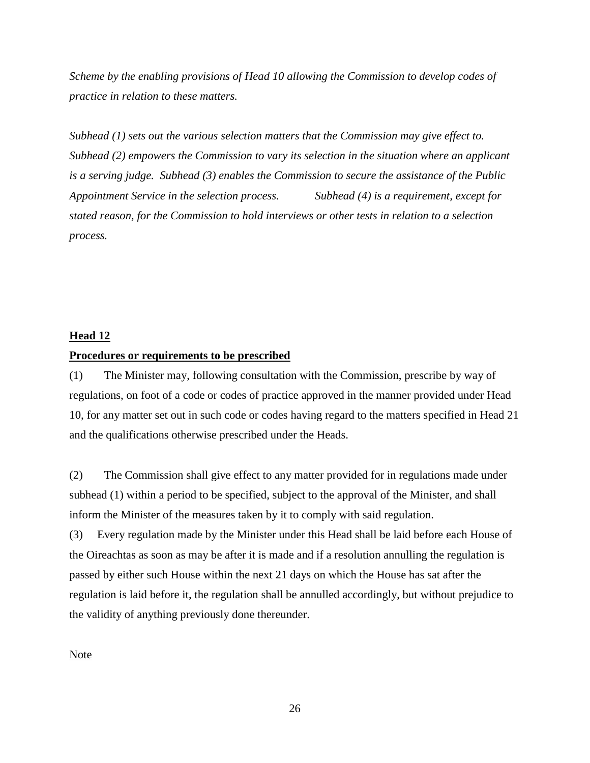*Scheme by the enabling provisions of Head 10 allowing the Commission to develop codes of practice in relation to these matters.* 

*Subhead (1) sets out the various selection matters that the Commission may give effect to. Subhead (2) empowers the Commission to vary its selection in the situation where an applicant is a serving judge. Subhead (3) enables the Commission to secure the assistance of the Public Appointment Service in the selection process. Subhead (4) is a requirement, except for stated reason, for the Commission to hold interviews or other tests in relation to a selection process.* 

#### **Head 12**

#### **Procedures or requirements to be prescribed**

(1) The Minister may, following consultation with the Commission, prescribe by way of regulations, on foot of a code or codes of practice approved in the manner provided under Head 10, for any matter set out in such code or codes having regard to the matters specified in Head 21 and the qualifications otherwise prescribed under the Heads.

(2) The Commission shall give effect to any matter provided for in regulations made under subhead (1) within a period to be specified, subject to the approval of the Minister, and shall inform the Minister of the measures taken by it to comply with said regulation.

(3) Every regulation made by the Minister under this Head shall be laid before each House of the Oireachtas as soon as may be after it is made and if a resolution annulling the regulation is passed by either such House within the next 21 days on which the House has sat after the regulation is laid before it, the regulation shall be annulled accordingly, but without prejudice to the validity of anything previously done thereunder.

#### Note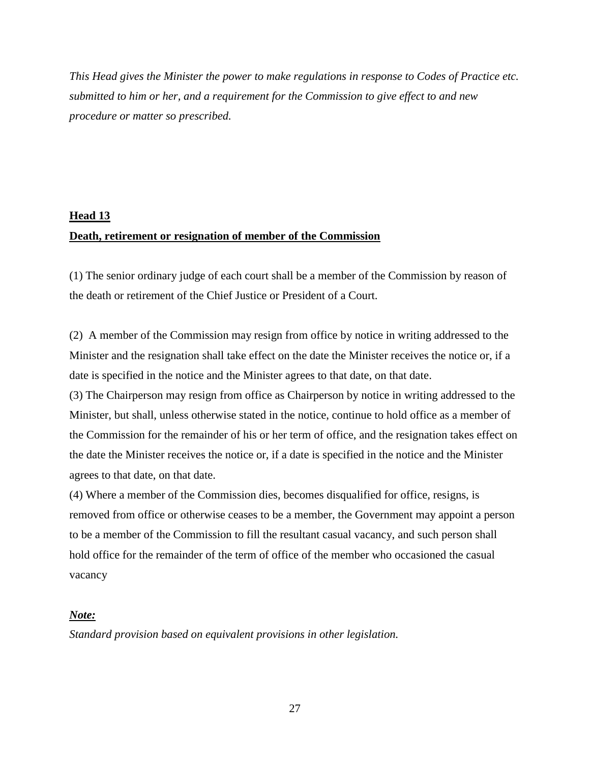*This Head gives the Minister the power to make regulations in response to Codes of Practice etc. submitted to him or her, and a requirement for the Commission to give effect to and new procedure or matter so prescribed.* 

# **Head 13 Death, retirement or resignation of member of the Commission**

(1) The senior ordinary judge of each court shall be a member of the Commission by reason of the death or retirement of the Chief Justice or President of a Court.

(2) A member of the Commission may resign from office by notice in writing addressed to the Minister and the resignation shall take effect on the date the Minister receives the notice or, if a date is specified in the notice and the Minister agrees to that date, on that date.

(3) The Chairperson may resign from office as Chairperson by notice in writing addressed to the Minister, but shall, unless otherwise stated in the notice, continue to hold office as a member of the Commission for the remainder of his or her term of office, and the resignation takes effect on the date the Minister receives the notice or, if a date is specified in the notice and the Minister agrees to that date, on that date.

(4) Where a member of the Commission dies, becomes disqualified for office, resigns, is removed from office or otherwise ceases to be a member, the Government may appoint a person to be a member of the Commission to fill the resultant casual vacancy, and such person shall hold office for the remainder of the term of office of the member who occasioned the casual vacancy

### *Note:*

*Standard provision based on equivalent provisions in other legislation.*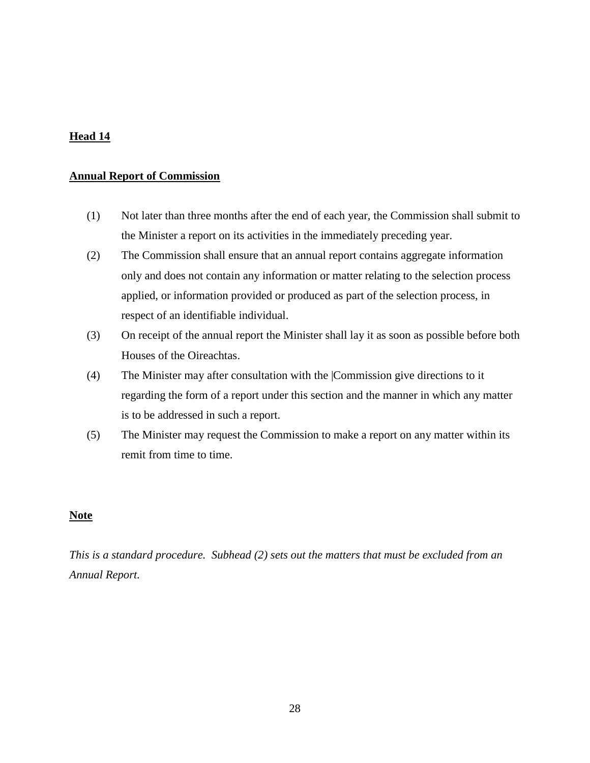## **Annual Report of Commission**

- (1) Not later than three months after the end of each year, the Commission shall submit to the Minister a report on its activities in the immediately preceding year.
- (2) The Commission shall ensure that an annual report contains aggregate information only and does not contain any information or matter relating to the selection process applied, or information provided or produced as part of the selection process, in respect of an identifiable individual.
- (3) On receipt of the annual report the Minister shall lay it as soon as possible before both Houses of the Oireachtas.
- (4) The Minister may after consultation with the |Commission give directions to it regarding the form of a report under this section and the manner in which any matter is to be addressed in such a report.
- (5) The Minister may request the Commission to make a report on any matter within its remit from time to time.

## **Note**

*This is a standard procedure. Subhead (2) sets out the matters that must be excluded from an Annual Report.*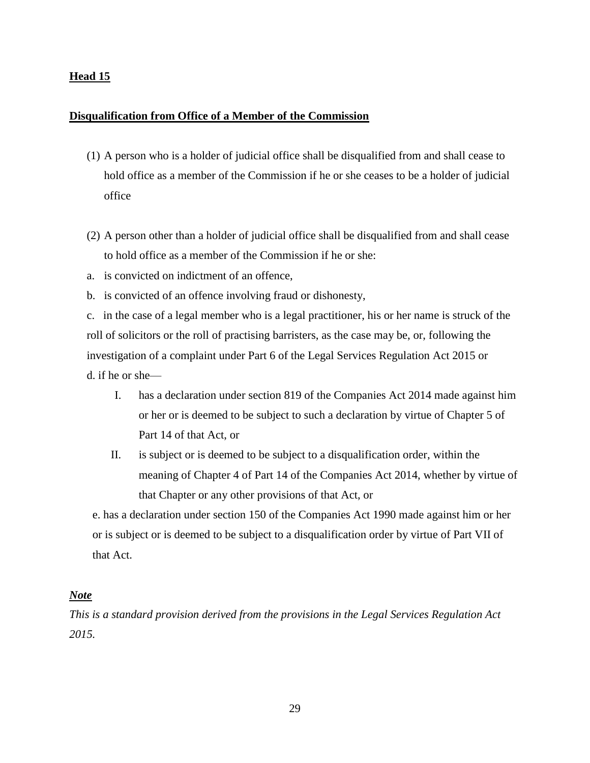#### **Disqualification from Office of a Member of the Commission**

- (1) A person who is a holder of judicial office shall be disqualified from and shall cease to hold office as a member of the Commission if he or she ceases to be a holder of judicial office
- (2) A person other than a holder of judicial office shall be disqualified from and shall cease to hold office as a member of the Commission if he or she:
- a. is convicted on indictment of an offence,
- b. is convicted of an offence involving fraud or dishonesty,

c. in the case of a legal member who is a legal practitioner, his or her name is struck of the roll of solicitors or the roll of practising barristers, as the case may be, or, following the investigation of a complaint under Part 6 of the Legal Services Regulation Act 2015 or d. if he or she—

- I. has a declaration under section 819 of the Companies Act 2014 made against him or her or is deemed to be subject to such a declaration by virtue of Chapter 5 of Part 14 of that Act, or
- II. is subject or is deemed to be subject to a disqualification order, within the meaning of Chapter 4 of Part 14 of the Companies Act 2014, whether by virtue of that Chapter or any other provisions of that Act, or

e. has a declaration under section 150 of the Companies Act 1990 made against him or her or is subject or is deemed to be subject to a disqualification order by virtue of Part VII of that Act.

### *Note*

*This is a standard provision derived from the provisions in the Legal Services Regulation Act 2015.*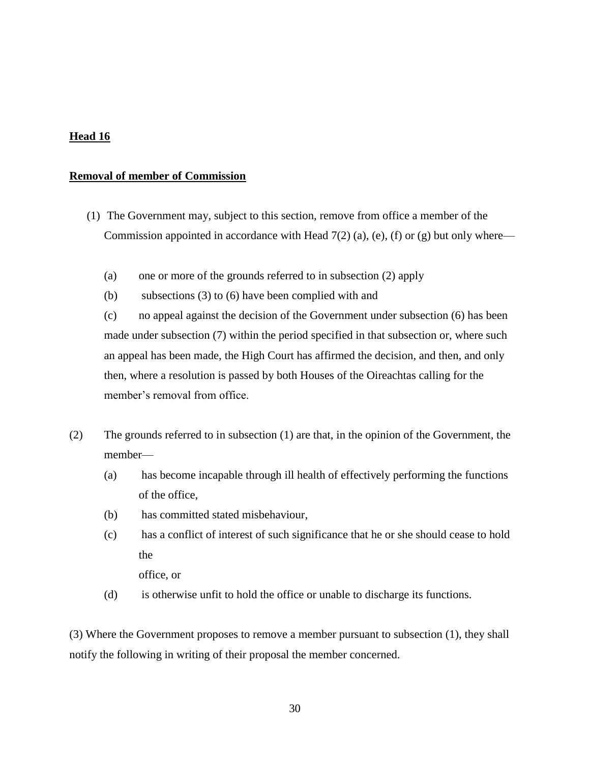### **Removal of member of Commission**

- (1) The Government may, subject to this section, remove from office a member of the Commission appointed in accordance with Head  $7(2)$  (a), (e), (f) or (g) but only where—
	- (a) one or more of the grounds referred to in subsection (2) apply
	- (b) subsections (3) to (6) have been complied with and

(c) no appeal against the decision of the Government under subsection (6) has been made under subsection (7) within the period specified in that subsection or, where such an appeal has been made, the High Court has affirmed the decision, and then, and only then, where a resolution is passed by both Houses of the Oireachtas calling for the member's removal from office.

- (2) The grounds referred to in subsection (1) are that, in the opinion of the Government, the member—
	- (a) has become incapable through ill health of effectively performing the functions of the office,
	- (b) has committed stated misbehaviour,
	- (c) has a conflict of interest of such significance that he or she should cease to hold the

office, or

(d) is otherwise unfit to hold the office or unable to discharge its functions.

(3) Where the Government proposes to remove a member pursuant to subsection (1), they shall notify the following in writing of their proposal the member concerned.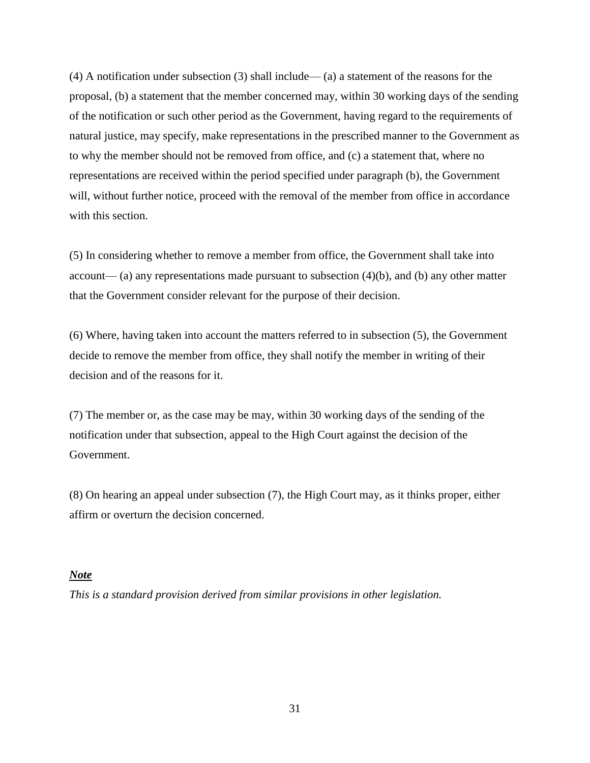(4) A notification under subsection (3) shall include— (a) a statement of the reasons for the proposal, (b) a statement that the member concerned may, within 30 working days of the sending of the notification or such other period as the Government, having regard to the requirements of natural justice, may specify, make representations in the prescribed manner to the Government as to why the member should not be removed from office, and (c) a statement that, where no representations are received within the period specified under paragraph (b), the Government will, without further notice, proceed with the removal of the member from office in accordance with this section.

(5) In considering whether to remove a member from office, the Government shall take into account— (a) any representations made pursuant to subsection  $(4)(b)$ , and  $(b)$  any other matter that the Government consider relevant for the purpose of their decision.

(6) Where, having taken into account the matters referred to in subsection (5), the Government decide to remove the member from office, they shall notify the member in writing of their decision and of the reasons for it.

(7) The member or, as the case may be may, within 30 working days of the sending of the notification under that subsection, appeal to the High Court against the decision of the Government.

(8) On hearing an appeal under subsection (7), the High Court may, as it thinks proper, either affirm or overturn the decision concerned.

#### *Note*

*This is a standard provision derived from similar provisions in other legislation.*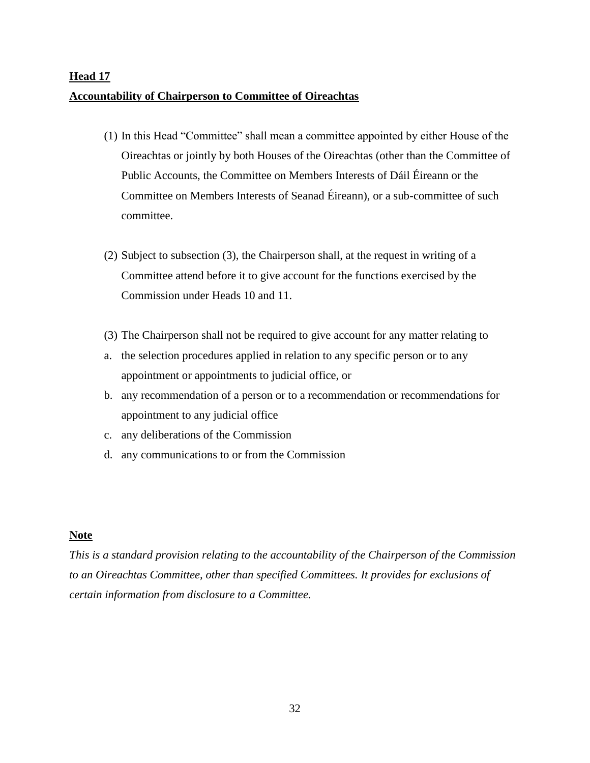# **Head 17 Accountability of Chairperson to Committee of Oireachtas**

- (1) In this Head "Committee" shall mean a committee appointed by either House of the Oireachtas or jointly by both Houses of the Oireachtas (other than the Committee of Public Accounts, the Committee on Members Interests of Dáil Éireann or the Committee on Members Interests of Seanad Éireann), or a sub-committee of such committee.
- (2) Subject to subsection (3), the Chairperson shall, at the request in writing of a Committee attend before it to give account for the functions exercised by the Commission under Heads 10 and 11.
- (3) The Chairperson shall not be required to give account for any matter relating to
- a. the selection procedures applied in relation to any specific person or to any appointment or appointments to judicial office, or
- b. any recommendation of a person or to a recommendation or recommendations for appointment to any judicial office
- c. any deliberations of the Commission
- d. any communications to or from the Commission

#### **Note**

*This is a standard provision relating to the accountability of the Chairperson of the Commission to an Oireachtas Committee, other than specified Committees. It provides for exclusions of certain information from disclosure to a Committee.*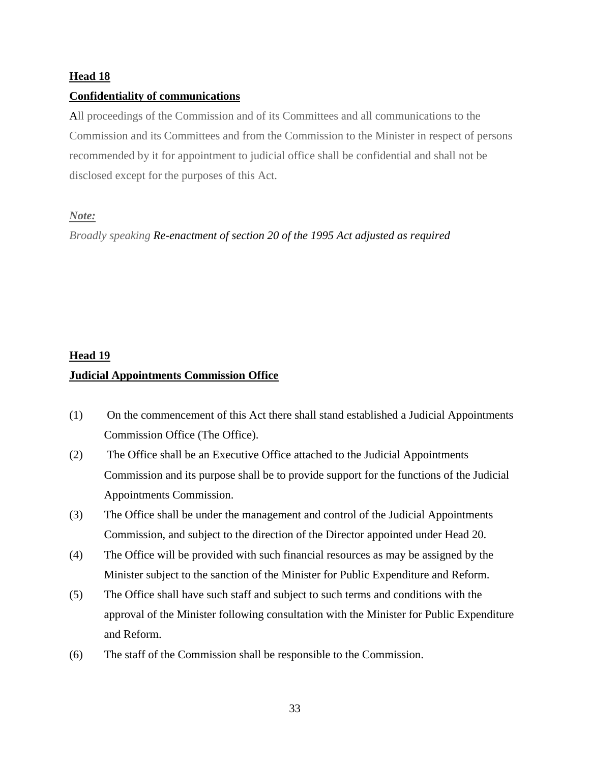## **Confidentiality of communications**

All proceedings of the Commission and of its Committees and all communications to the Commission and its Committees and from the Commission to the Minister in respect of persons recommended by it for appointment to judicial office shall be confidential and shall not be disclosed except for the purposes of this Act.

## *Note:*

*Broadly speaking Re-enactment of section 20 of the 1995 Act adjusted as required*

# **Head 19 Judicial Appointments Commission Office**

- (1) On the commencement of this Act there shall stand established a Judicial Appointments Commission Office (The Office).
- (2) The Office shall be an Executive Office attached to the Judicial Appointments Commission and its purpose shall be to provide support for the functions of the Judicial Appointments Commission.
- (3) The Office shall be under the management and control of the Judicial Appointments Commission, and subject to the direction of the Director appointed under Head 20.
- (4) The Office will be provided with such financial resources as may be assigned by the Minister subject to the sanction of the Minister for Public Expenditure and Reform.
- (5) The Office shall have such staff and subject to such terms and conditions with the approval of the Minister following consultation with the Minister for Public Expenditure and Reform.
- (6) The staff of the Commission shall be responsible to the Commission.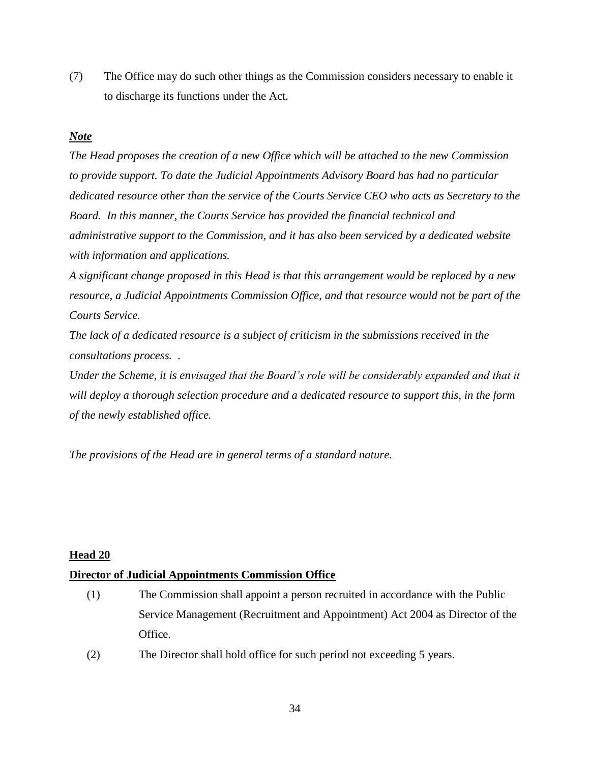(7) The Office may do such other things as the Commission considers necessary to enable it to discharge its functions under the Act.

## *Note*

*The Head proposes the creation of a new Office which will be attached to the new Commission to provide support. To date the Judicial Appointments Advisory Board has had no particular dedicated resource other than the service of the Courts Service CEO who acts as Secretary to the Board. In this manner, the Courts Service has provided the financial technical and administrative support to the Commission, and it has also been serviced by a dedicated website with information and applications.*

*A significant change proposed in this Head is that this arrangement would be replaced by a new resource, a Judicial Appointments Commission Office, and that resource would not be part of the Courts Service.* 

*The lack of a dedicated resource is a subject of criticism in the submissions received in the consultations process. .*

*Under the Scheme, it is envisaged that the Board's role will be considerably expanded and that it will deploy a thorough selection procedure and a dedicated resource to support this, in the form of the newly established office.*

*The provisions of the Head are in general terms of a standard nature.* 

## **Head 20**

## **Director of Judicial Appointments Commission Office**

- (1) The Commission shall appoint a person recruited in accordance with the Public Service Management (Recruitment and Appointment) Act 2004 as Director of the Office.
- (2) The Director shall hold office for such period not exceeding 5 years.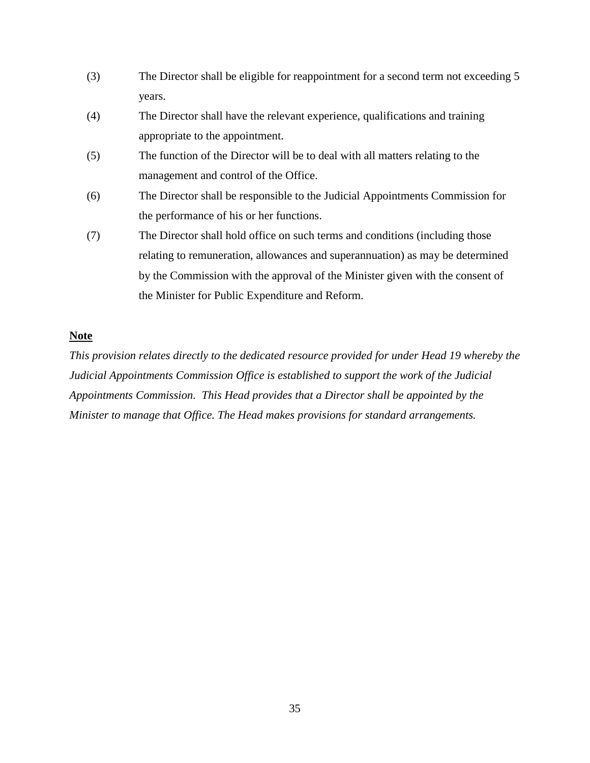- (3) The Director shall be eligible for reappointment for a second term not exceeding 5 years.
- (4) The Director shall have the relevant experience, qualifications and training appropriate to the appointment.
- (5) The function of the Director will be to deal with all matters relating to the management and control of the Office.
- (6) The Director shall be responsible to the Judicial Appointments Commission for the performance of his or her functions.
- (7) The Director shall hold office on such terms and conditions (including those relating to remuneration, allowances and superannuation) as may be determined by the Commission with the approval of the Minister given with the consent of the Minister for Public Expenditure and Reform.

### **Note**

*This provision relates directly to the dedicated resource provided for under Head 19 whereby the Judicial Appointments Commission Office is established to support the work of the Judicial Appointments Commission. This Head provides that a Director shall be appointed by the Minister to manage that Office. The Head makes provisions for standard arrangements.*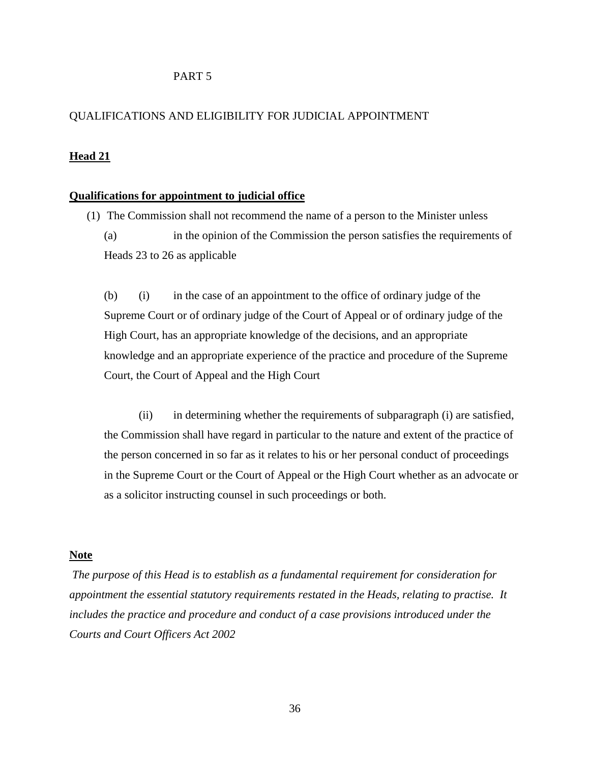#### PART 5

#### QUALIFICATIONS AND ELIGIBILITY FOR JUDICIAL APPOINTMENT

#### **Head 21**

#### **Qualifications for appointment to judicial office**

(1) The Commission shall not recommend the name of a person to the Minister unless (a) in the opinion of the Commission the person satisfies the requirements of Heads 23 to 26 as applicable

(b) (i) in the case of an appointment to the office of ordinary judge of the Supreme Court or of ordinary judge of the Court of Appeal or of ordinary judge of the High Court, has an appropriate knowledge of the decisions, and an appropriate knowledge and an appropriate experience of the practice and procedure of the Supreme Court, the Court of Appeal and the High Court

(ii) in determining whether the requirements of subparagraph (i) are satisfied, the Commission shall have regard in particular to the nature and extent of the practice of the person concerned in so far as it relates to his or her personal conduct of proceedings in the Supreme Court or the Court of Appeal or the High Court whether as an advocate or as a solicitor instructing counsel in such proceedings or both.

#### **Note**

*The purpose of this Head is to establish as a fundamental requirement for consideration for appointment the essential statutory requirements restated in the Heads, relating to practise. It includes the practice and procedure and conduct of a case provisions introduced under the Courts and Court Officers Act 2002*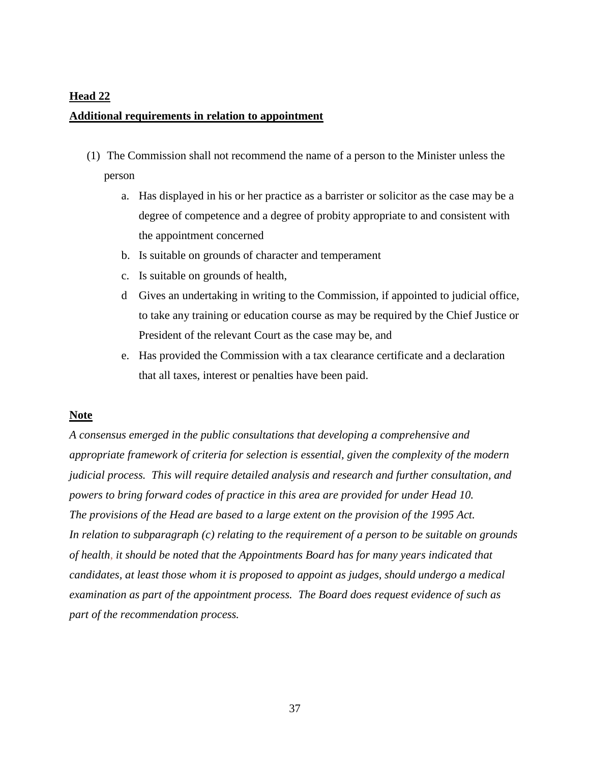### **Additional requirements in relation to appointment**

- (1) The Commission shall not recommend the name of a person to the Minister unless the person
	- a. Has displayed in his or her practice as a barrister or solicitor as the case may be a degree of competence and a degree of probity appropriate to and consistent with the appointment concerned
	- b. Is suitable on grounds of character and temperament
	- c. Is suitable on grounds of health,
	- d Gives an undertaking in writing to the Commission, if appointed to judicial office, to take any training or education course as may be required by the Chief Justice or President of the relevant Court as the case may be, and
	- e. Has provided the Commission with a tax clearance certificate and a declaration that all taxes, interest or penalties have been paid.

#### **Note**

*A consensus emerged in the public consultations that developing a comprehensive and appropriate framework of criteria for selection is essential, given the complexity of the modern judicial process. This will require detailed analysis and research and further consultation, and powers to bring forward codes of practice in this area are provided for under Head 10. The provisions of the Head are based to a large extent on the provision of the 1995 Act. In relation to subparagraph (c) relating to the requirement of a person to be suitable on grounds of health*, *it should be noted that the Appointments Board has for many years indicated that candidates, at least those whom it is proposed to appoint as judges, should undergo a medical examination as part of the appointment process. The Board does request evidence of such as part of the recommendation process.*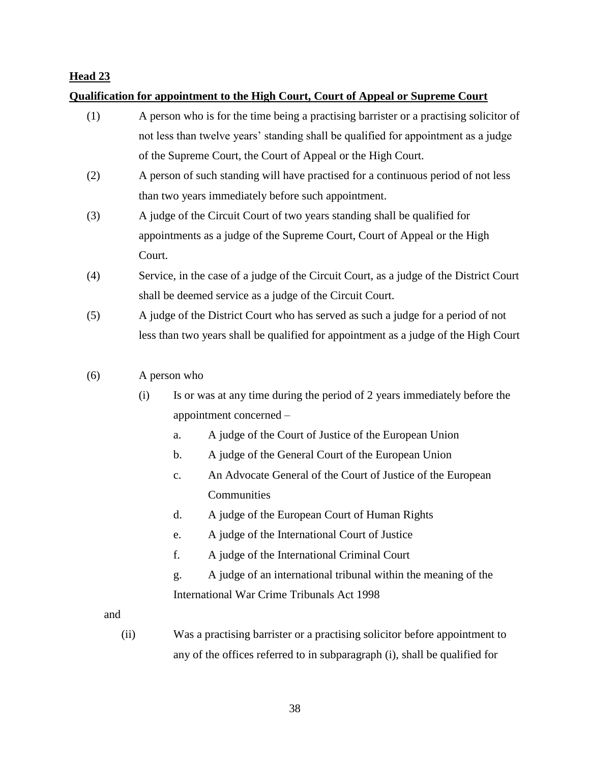## **Qualification for appointment to the High Court, Court of Appeal or Supreme Court**

- (1) A person who is for the time being a practising barrister or a practising solicitor of not less than twelve years' standing shall be qualified for appointment as a judge of the Supreme Court, the Court of Appeal or the High Court.
- (2) A person of such standing will have practised for a continuous period of not less than two years immediately before such appointment.
- (3) A judge of the Circuit Court of two years standing shall be qualified for appointments as a judge of the Supreme Court, Court of Appeal or the High Court.
- (4) Service, in the case of a judge of the Circuit Court, as a judge of the District Court shall be deemed service as a judge of the Circuit Court.
- (5) A judge of the District Court who has served as such a judge for a period of not less than two years shall be qualified for appointment as a judge of the High Court

## (6) A person who

- (i) Is or was at any time during the period of 2 years immediately before the appointment concerned –
	- a. A judge of the Court of Justice of the European Union
	- b. A judge of the General Court of the European Union
	- c. An Advocate General of the Court of Justice of the European **Communities**
	- d. A judge of the European Court of Human Rights
	- e. A judge of the International Court of Justice
	- f. A judge of the International Criminal Court
	- g. A judge of an international tribunal within the meaning of the International War Crime Tribunals Act 1998

and

(ii) Was a practising barrister or a practising solicitor before appointment to any of the offices referred to in subparagraph (i), shall be qualified for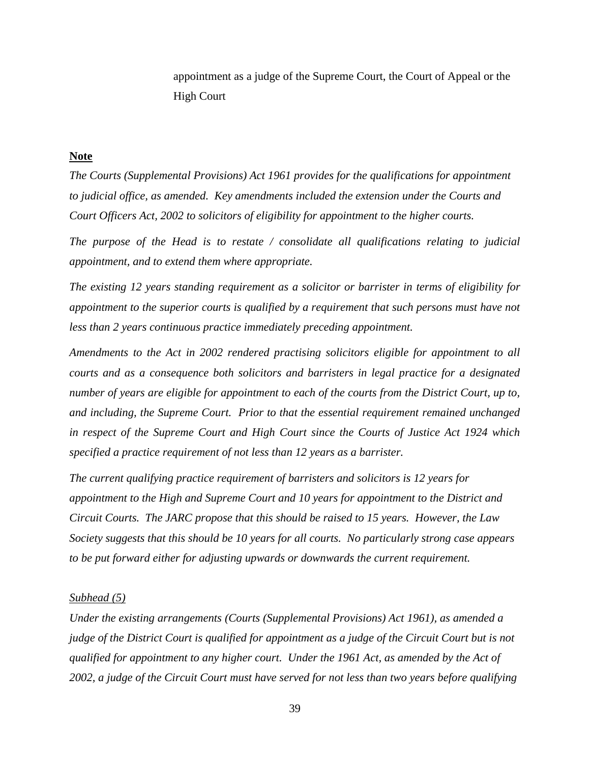appointment as a judge of the Supreme Court, the Court of Appeal or the High Court

#### **Note**

*The Courts (Supplemental Provisions) Act 1961 provides for the qualifications for appointment to judicial office, as amended. Key amendments included the extension under the Courts and Court Officers Act, 2002 to solicitors of eligibility for appointment to the higher courts.* 

*The purpose of the Head is to restate / consolidate all qualifications relating to judicial appointment, and to extend them where appropriate.*

*The existing 12 years standing requirement as a solicitor or barrister in terms of eligibility for appointment to the superior courts is qualified by a requirement that such persons must have not less than 2 years continuous practice immediately preceding appointment.*

*Amendments to the Act in 2002 rendered practising solicitors eligible for appointment to all courts and as a consequence both solicitors and barristers in legal practice for a designated number of years are eligible for appointment to each of the courts from the District Court, up to, and including, the Supreme Court. Prior to that the essential requirement remained unchanged in respect of the Supreme Court and High Court since the Courts of Justice Act 1924 which specified a practice requirement of not less than 12 years as a barrister.*

*The current qualifying practice requirement of barristers and solicitors is 12 years for appointment to the High and Supreme Court and 10 years for appointment to the District and Circuit Courts. The JARC propose that this should be raised to 15 years. However, the Law Society suggests that this should be 10 years for all courts. No particularly strong case appears to be put forward either for adjusting upwards or downwards the current requirement.* 

#### *Subhead (5)*

*Under the existing arrangements (Courts (Supplemental Provisions) Act 1961), as amended a judge of the District Court is qualified for appointment as a judge of the Circuit Court but is not qualified for appointment to any higher court. Under the 1961 Act, as amended by the Act of 2002, a judge of the Circuit Court must have served for not less than two years before qualifying*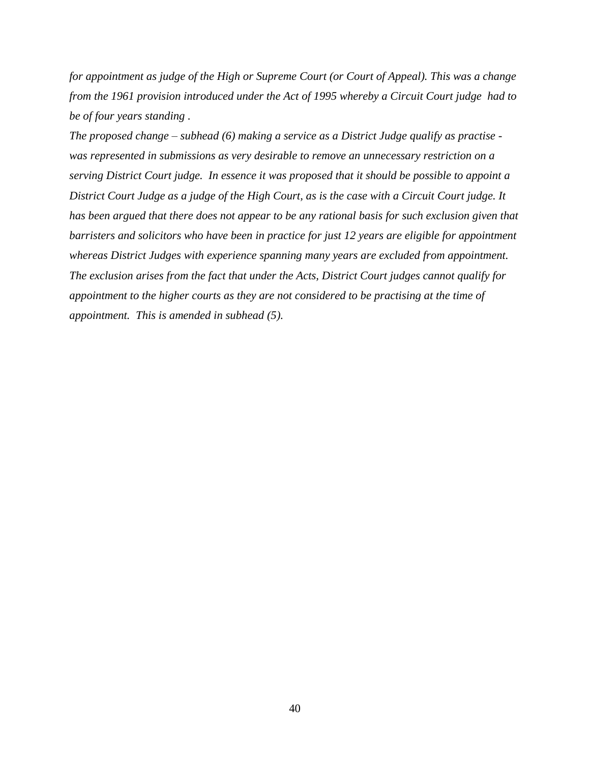*for appointment as judge of the High or Supreme Court (or Court of Appeal). This was a change from the 1961 provision introduced under the Act of 1995 whereby a Circuit Court judge had to be of four years standing .*

*The proposed change – subhead (6) making a service as a District Judge qualify as practise was represented in submissions as very desirable to remove an unnecessary restriction on a serving District Court judge. In essence it was proposed that it should be possible to appoint a District Court Judge as a judge of the High Court, as is the case with a Circuit Court judge. It has been argued that there does not appear to be any rational basis for such exclusion given that barristers and solicitors who have been in practice for just 12 years are eligible for appointment whereas District Judges with experience spanning many years are excluded from appointment. The exclusion arises from the fact that under the Acts, District Court judges cannot qualify for appointment to the higher courts as they are not considered to be practising at the time of appointment. This is amended in subhead (5).*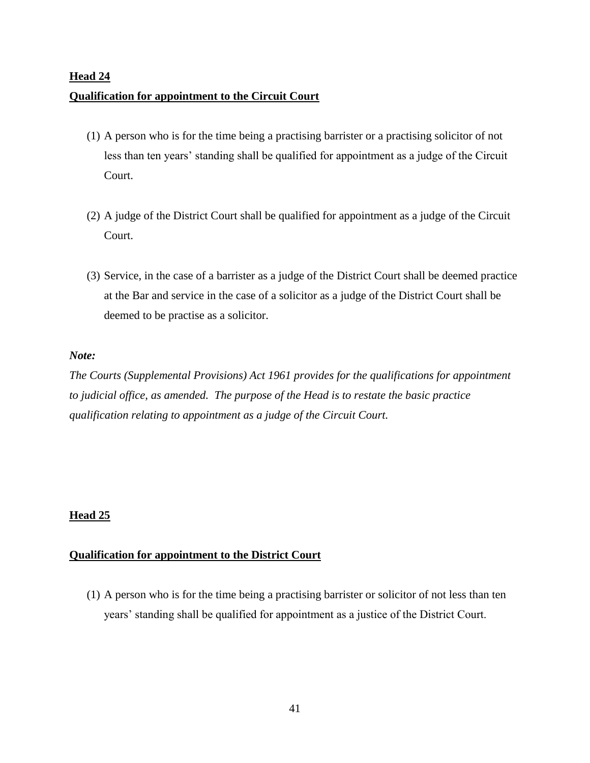# **Head 24 Qualification for appointment to the Circuit Court**

- (1) A person who is for the time being a practising barrister or a practising solicitor of not less than ten years' standing shall be qualified for appointment as a judge of the Circuit Court.
- (2) A judge of the District Court shall be qualified for appointment as a judge of the Circuit Court.
- (3) Service, in the case of a barrister as a judge of the District Court shall be deemed practice at the Bar and service in the case of a solicitor as a judge of the District Court shall be deemed to be practise as a solicitor.

## *Note:*

*The Courts (Supplemental Provisions) Act 1961 provides for the qualifications for appointment to judicial office, as amended. The purpose of the Head is to restate the basic practice qualification relating to appointment as a judge of the Circuit Court.*

## **Head 25**

## **Qualification for appointment to the District Court**

(1) A person who is for the time being a practising barrister or solicitor of not less than ten years' standing shall be qualified for appointment as a justice of the District Court.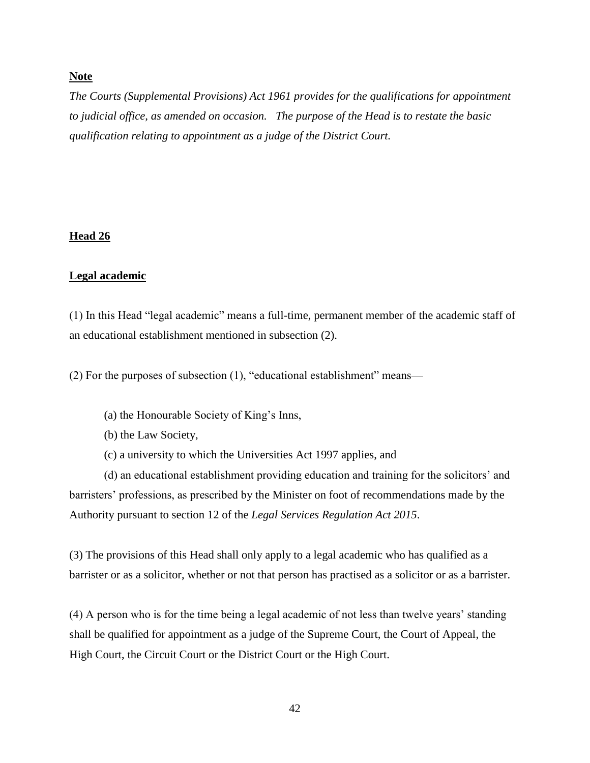## **Note**

*The Courts (Supplemental Provisions) Act 1961 provides for the qualifications for appointment to judicial office, as amended on occasion. The purpose of the Head is to restate the basic qualification relating to appointment as a judge of the District Court.* 

### **Head 26**

### **Legal academic**

(1) In this Head "legal academic" means a full-time, permanent member of the academic staff of an educational establishment mentioned in subsection (2).

(2) For the purposes of subsection (1), "educational establishment" means—

- (a) the Honourable Society of King's Inns,
- (b) the Law Society,
- (c) a university to which the Universities Act 1997 applies, and

(d) an educational establishment providing education and training for the solicitors' and barristers' professions, as prescribed by the Minister on foot of recommendations made by the Authority pursuant to section 12 of the *Legal Services Regulation Act 2015*.

(3) The provisions of this Head shall only apply to a legal academic who has qualified as a barrister or as a solicitor, whether or not that person has practised as a solicitor or as a barrister.

(4) A person who is for the time being a legal academic of not less than twelve years' standing shall be qualified for appointment as a judge of the Supreme Court, the Court of Appeal, the High Court, the Circuit Court or the District Court or the High Court.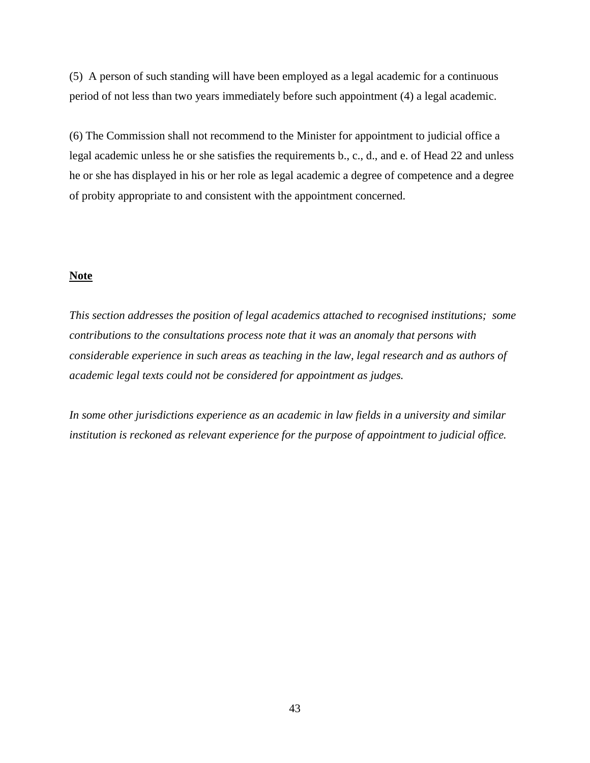(5) A person of such standing will have been employed as a legal academic for a continuous period of not less than two years immediately before such appointment (4) a legal academic.

(6) The Commission shall not recommend to the Minister for appointment to judicial office a legal academic unless he or she satisfies the requirements b., c., d., and e. of Head 22 and unless he or she has displayed in his or her role as legal academic a degree of competence and a degree of probity appropriate to and consistent with the appointment concerned.

#### **Note**

*This section addresses the position of legal academics attached to recognised institutions; some contributions to the consultations process note that it was an anomaly that persons with considerable experience in such areas as teaching in the law, legal research and as authors of academic legal texts could not be considered for appointment as judges.*

*In some other jurisdictions experience as an academic in law fields in a university and similar institution is reckoned as relevant experience for the purpose of appointment to judicial office.*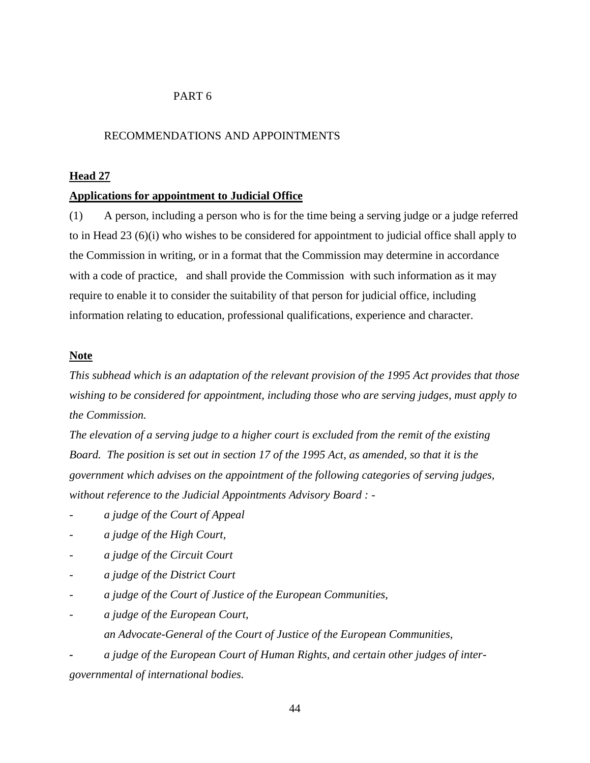## PART 6

#### RECOMMENDATIONS AND APPOINTMENTS

#### **Head 27**

#### **Applications for appointment to Judicial Office**

(1) A person, including a person who is for the time being a serving judge or a judge referred to in Head 23 (6)(i) who wishes to be considered for appointment to judicial office shall apply to the Commission in writing, or in a format that the Commission may determine in accordance with a code of practice, and shall provide the Commission with such information as it may require to enable it to consider the suitability of that person for judicial office, including information relating to education, professional qualifications, experience and character.

## **Note**

*This subhead which is an adaptation of the relevant provision of the 1995 Act provides that those wishing to be considered for appointment, including those who are serving judges, must apply to the Commission.* 

*The elevation of a serving judge to a higher court is excluded from the remit of the existing Board. The position is set out in section 17 of the 1995 Act, as amended, so that it is the government which advises on the appointment of the following categories of serving judges, without reference to the Judicial Appointments Advisory Board : -*

- *- a judge of the Court of Appeal*
- *- a judge of the High Court,*
- *- a judge of the Circuit Court*
- *- a judge of the District Court*
- *- a judge of the Court of Justice of the European Communities,*
- *- a judge of the European Court,* 
	- *an Advocate-General of the Court of Justice of the European Communities,*

*- a judge of the European Court of Human Rights, and certain other judges of intergovernmental of international bodies.*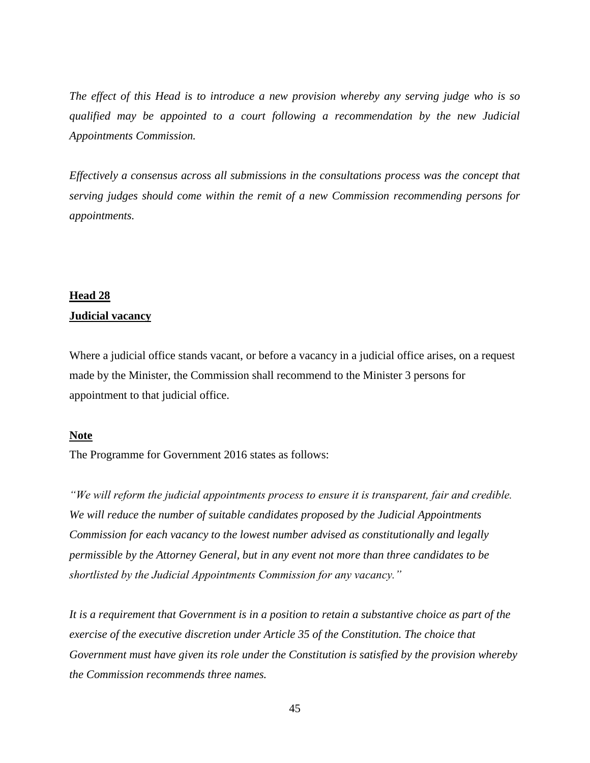*The effect of this Head is to introduce a new provision whereby any serving judge who is so qualified may be appointed to a court following a recommendation by the new Judicial Appointments Commission.*

*Effectively a consensus across all submissions in the consultations process was the concept that serving judges should come within the remit of a new Commission recommending persons for appointments.* 

### **Head 28**

### **Judicial vacancy**

Where a judicial office stands vacant, or before a vacancy in a judicial office arises, on a request made by the Minister, the Commission shall recommend to the Minister 3 persons for appointment to that judicial office.

### **Note**

The Programme for Government 2016 states as follows:

*"We will reform the judicial appointments process to ensure it is transparent, fair and credible. We will reduce the number of suitable candidates proposed by the Judicial Appointments Commission for each vacancy to the lowest number advised as constitutionally and legally permissible by the Attorney General, but in any event not more than three candidates to be shortlisted by the Judicial Appointments Commission for any vacancy."*

*It is a requirement that Government is in a position to retain a substantive choice as part of the exercise of the executive discretion under Article 35 of the Constitution. The choice that Government must have given its role under the Constitution is satisfied by the provision whereby the Commission recommends three names.*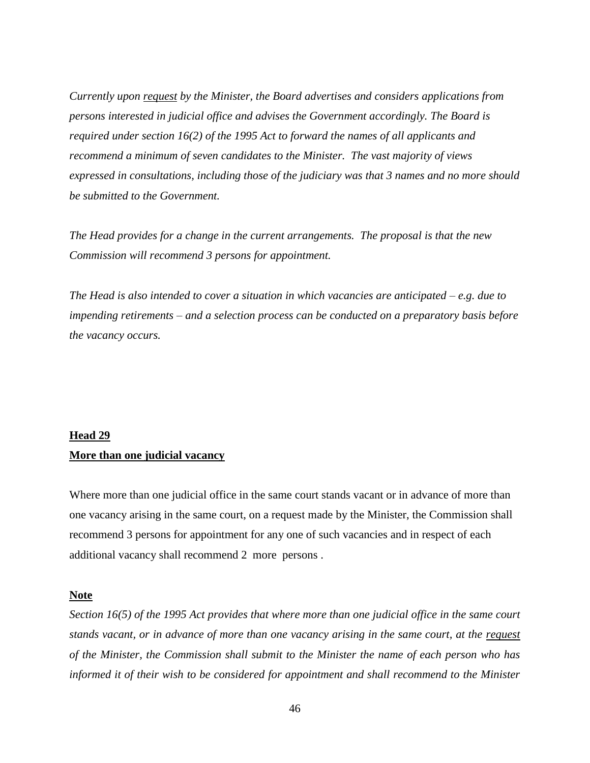*Currently upon request by the Minister, the Board advertises and considers applications from persons interested in judicial office and advises the Government accordingly. The Board is required under section 16(2) of the 1995 Act to forward the names of all applicants and recommend a minimum of seven candidates to the Minister. The vast majority of views expressed in consultations, including those of the judiciary was that 3 names and no more should be submitted to the Government.* 

*The Head provides for a change in the current arrangements. The proposal is that the new Commission will recommend 3 persons for appointment.* 

*The Head is also intended to cover a situation in which vacancies are anticipated – e.g. due to impending retirements – and a selection process can be conducted on a preparatory basis before the vacancy occurs.*

# **Head 29 More than one judicial vacancy**

Where more than one judicial office in the same court stands vacant or in advance of more than one vacancy arising in the same court, on a request made by the Minister, the Commission shall recommend 3 persons for appointment for any one of such vacancies and in respect of each additional vacancy shall recommend 2 more persons .

#### **Note**

*Section 16(5) of the 1995 Act provides that where more than one judicial office in the same court stands vacant, or in advance of more than one vacancy arising in the same court, at the request of the Minister, the Commission shall submit to the Minister the name of each person who has informed it of their wish to be considered for appointment and shall recommend to the Minister*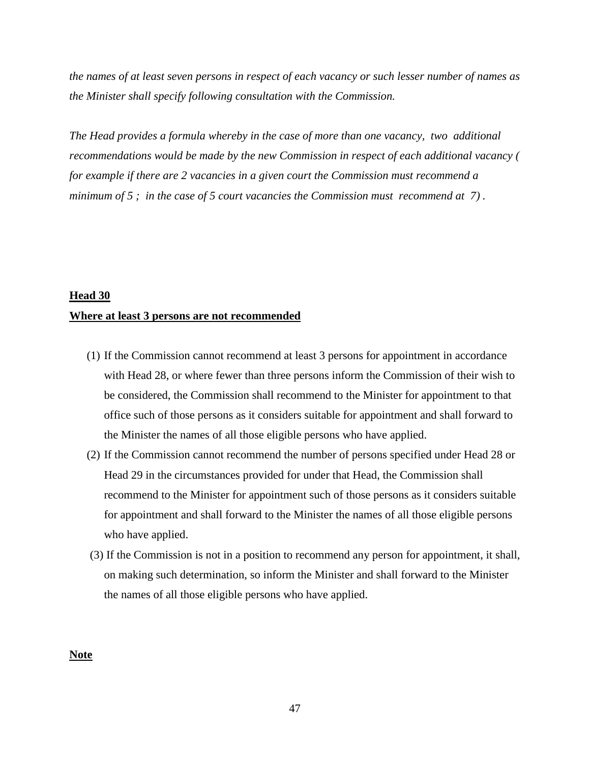*the names of at least seven persons in respect of each vacancy or such lesser number of names as the Minister shall specify following consultation with the Commission.* 

*The Head provides a formula whereby in the case of more than one vacancy, two additional recommendations would be made by the new Commission in respect of each additional vacancy ( for example if there are 2 vacancies in a given court the Commission must recommend a minimum of 5 ; in the case of 5 court vacancies the Commission must recommend at 7) .* 

#### **Head 30**

#### **Where at least 3 persons are not recommended**

- (1) If the Commission cannot recommend at least 3 persons for appointment in accordance with Head 28, or where fewer than three persons inform the Commission of their wish to be considered, the Commission shall recommend to the Minister for appointment to that office such of those persons as it considers suitable for appointment and shall forward to the Minister the names of all those eligible persons who have applied.
- (2) If the Commission cannot recommend the number of persons specified under Head 28 or Head 29 in the circumstances provided for under that Head, the Commission shall recommend to the Minister for appointment such of those persons as it considers suitable for appointment and shall forward to the Minister the names of all those eligible persons who have applied.
- (3) If the Commission is not in a position to recommend any person for appointment, it shall, on making such determination, so inform the Minister and shall forward to the Minister the names of all those eligible persons who have applied.

#### **Note**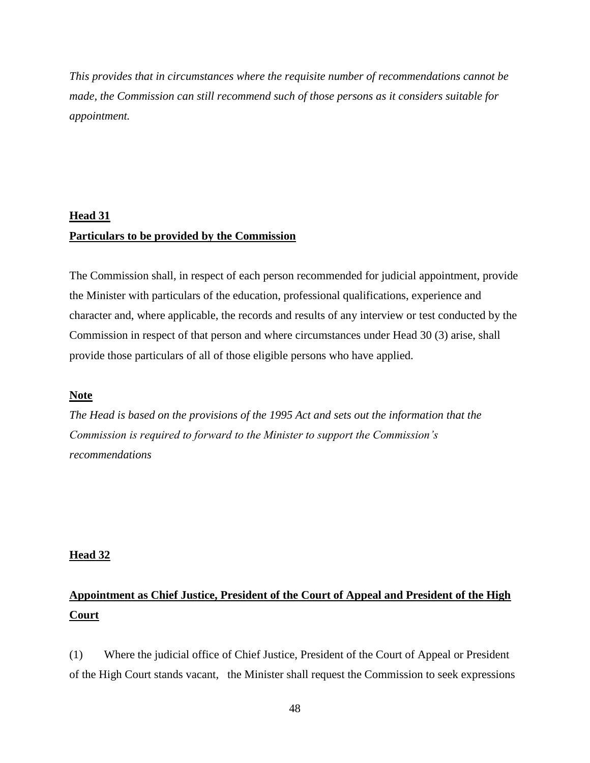*This provides that in circumstances where the requisite number of recommendations cannot be made, the Commission can still recommend such of those persons as it considers suitable for appointment.* 

# **Head 31 Particulars to be provided by the Commission**

The Commission shall, in respect of each person recommended for judicial appointment, provide the Minister with particulars of the education, professional qualifications, experience and character and, where applicable, the records and results of any interview or test conducted by the Commission in respect of that person and where circumstances under Head 30 (3) arise, shall provide those particulars of all of those eligible persons who have applied.

## **Note**

*The Head is based on the provisions of the 1995 Act and sets out the information that the Commission is required to forward to the Minister to support the Commission's recommendations*

#### **Head 32**

# **Appointment as Chief Justice, President of the Court of Appeal and President of the High Court**

(1) Where the judicial office of Chief Justice, President of the Court of Appeal or President of the High Court stands vacant, the Minister shall request the Commission to seek expressions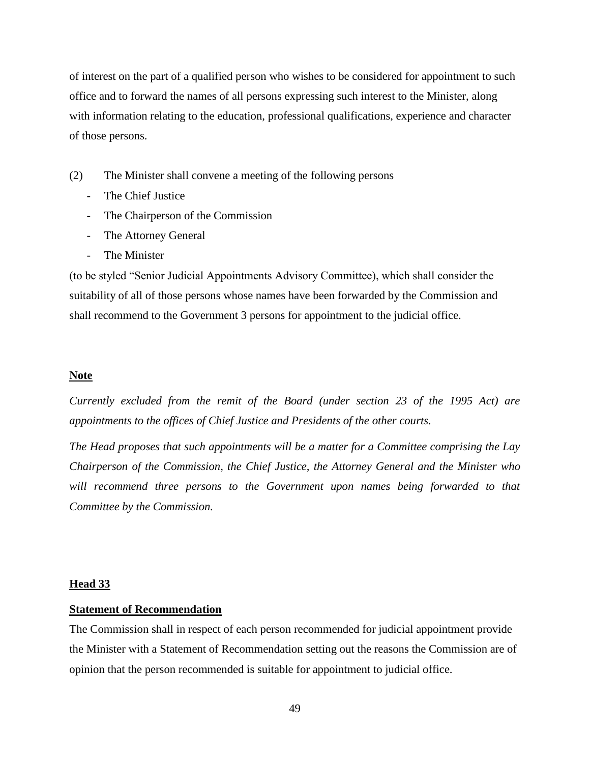of interest on the part of a qualified person who wishes to be considered for appointment to such office and to forward the names of all persons expressing such interest to the Minister, along with information relating to the education, professional qualifications, experience and character of those persons.

- (2) The Minister shall convene a meeting of the following persons
	- The Chief Justice
	- The Chairperson of the Commission
	- The Attorney General
	- The Minister

(to be styled "Senior Judicial Appointments Advisory Committee), which shall consider the suitability of all of those persons whose names have been forwarded by the Commission and shall recommend to the Government 3 persons for appointment to the judicial office.

### **Note**

*Currently excluded from the remit of the Board (under section 23 of the 1995 Act) are appointments to the offices of Chief Justice and Presidents of the other courts.*

*The Head proposes that such appointments will be a matter for a Committee comprising the Lay Chairperson of the Commission, the Chief Justice, the Attorney General and the Minister who*  will recommend three persons to the Government upon names being forwarded to that *Committee by the Commission.* 

#### **Head 33**

#### **Statement of Recommendation**

The Commission shall in respect of each person recommended for judicial appointment provide the Minister with a Statement of Recommendation setting out the reasons the Commission are of opinion that the person recommended is suitable for appointment to judicial office.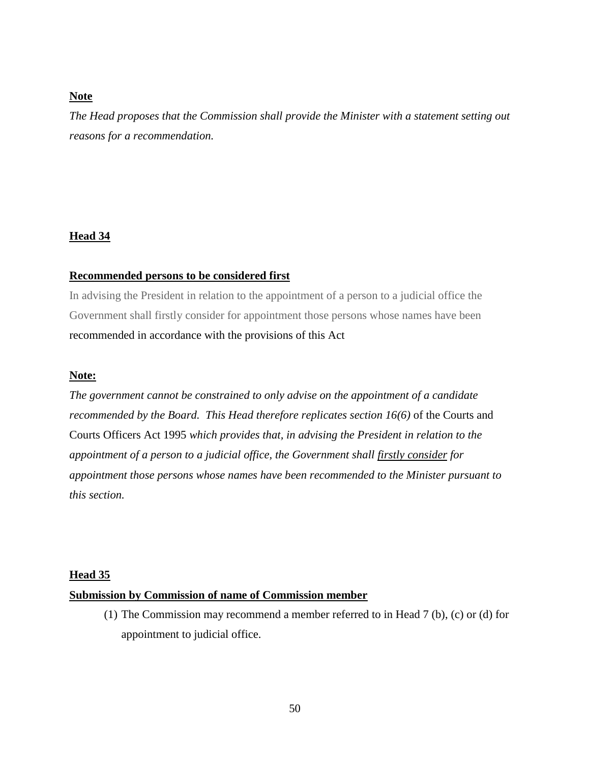## **Note**

*The Head proposes that the Commission shall provide the Minister with a statement setting out reasons for a recommendation.*

### **Head 34**

## **Recommended persons to be considered first**

In advising the President in relation to the appointment of a person to a judicial office the Government shall firstly consider for appointment those persons whose names have been recommended in accordance with the provisions of this Act

### **Note:**

*The government cannot be constrained to only advise on the appointment of a candidate recommended by the Board. This Head therefore replicates section 16(6)* of the Courts and Courts Officers Act 1995 *which provides that, in advising the President in relation to the appointment of a person to a judicial office, the Government shall firstly consider for appointment those persons whose names have been recommended to the Minister pursuant to this section.* 

#### **Head 35**

#### **Submission by Commission of name of Commission member**

(1) The Commission may recommend a member referred to in Head 7 (b), (c) or (d) for appointment to judicial office.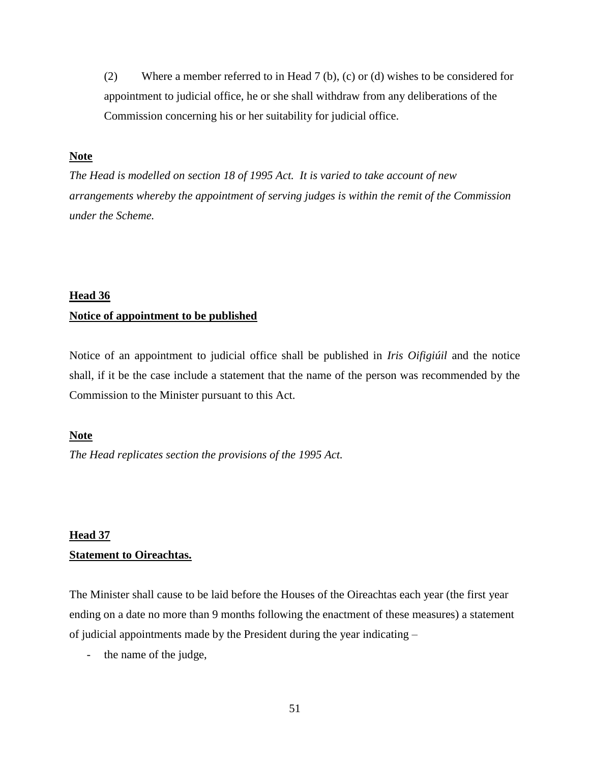(2) Where a member referred to in Head 7 (b), (c) or (d) wishes to be considered for appointment to judicial office, he or she shall withdraw from any deliberations of the Commission concerning his or her suitability for judicial office.

### **Note**

*The Head is modelled on section 18 of 1995 Act. It is varied to take account of new arrangements whereby the appointment of serving judges is within the remit of the Commission under the Scheme.*

#### **Head 36**

#### **Notice of appointment to be published**

Notice of an appointment to judicial office shall be published in *Iris Oifigiúil* and the notice shall, if it be the case include a statement that the name of the person was recommended by the Commission to the Minister pursuant to this Act.

### **Note**

*The Head replicates section the provisions of the 1995 Act.* 

# **Head 37 Statement to Oireachtas.**

The Minister shall cause to be laid before the Houses of the Oireachtas each year (the first year ending on a date no more than 9 months following the enactment of these measures) a statement of judicial appointments made by the President during the year indicating –

the name of the judge,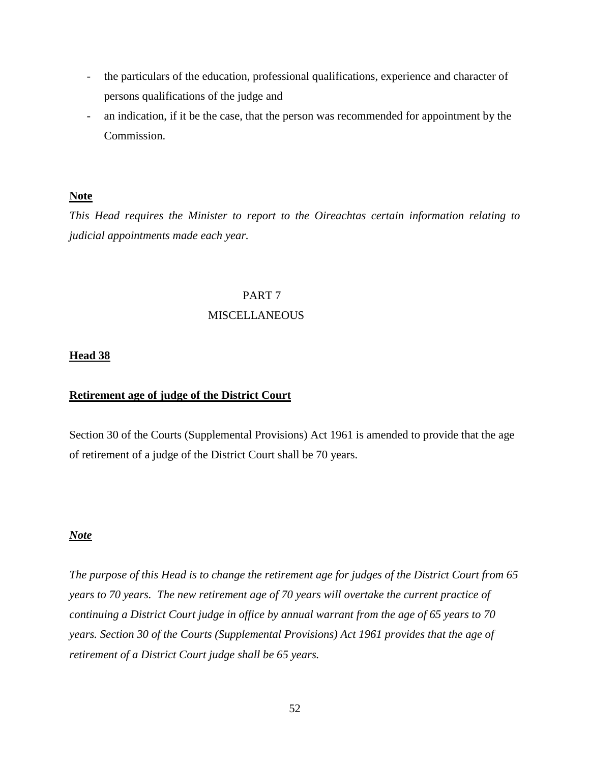- the particulars of the education, professional qualifications, experience and character of persons qualifications of the judge and
- an indication, if it be the case, that the person was recommended for appointment by the Commission.

## **Note**

*This Head requires the Minister to report to the Oireachtas certain information relating to judicial appointments made each year.*

### PART 7

## MISCELLANEOUS

## **Head 38**

## **Retirement age of judge of the District Court**

Section 30 of the Courts (Supplemental Provisions) Act 1961 is amended to provide that the age of retirement of a judge of the District Court shall be 70 years.

## *Note*

*The purpose of this Head is to change the retirement age for judges of the District Court from 65 years to 70 years. The new retirement age of 70 years will overtake the current practice of continuing a District Court judge in office by annual warrant from the age of 65 years to 70 years. Section 30 of the Courts (Supplemental Provisions) Act 1961 provides that the age of retirement of a District Court judge shall be 65 years.*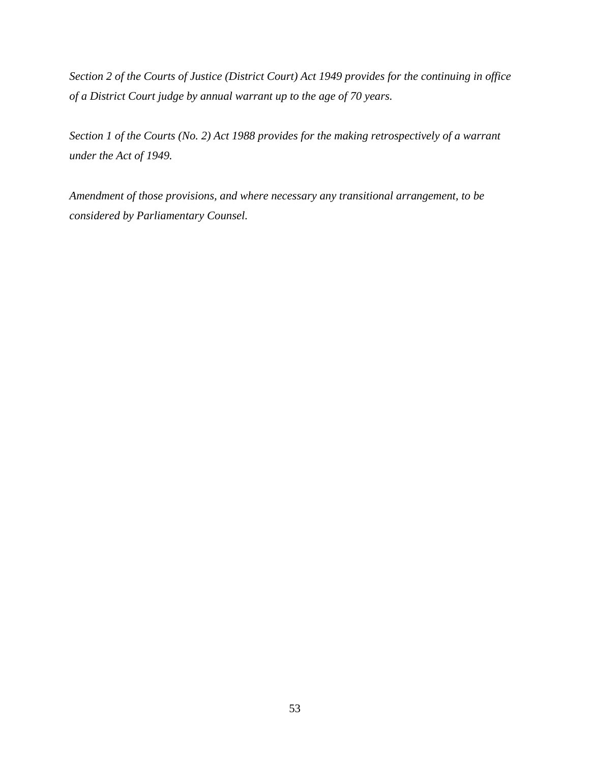*Section 2 of the Courts of Justice (District Court) Act 1949 provides for the continuing in office of a District Court judge by annual warrant up to the age of 70 years.* 

*Section 1 of the Courts (No. 2) Act 1988 provides for the making retrospectively of a warrant under the Act of 1949.*

*Amendment of those provisions, and where necessary any transitional arrangement, to be considered by Parliamentary Counsel.*